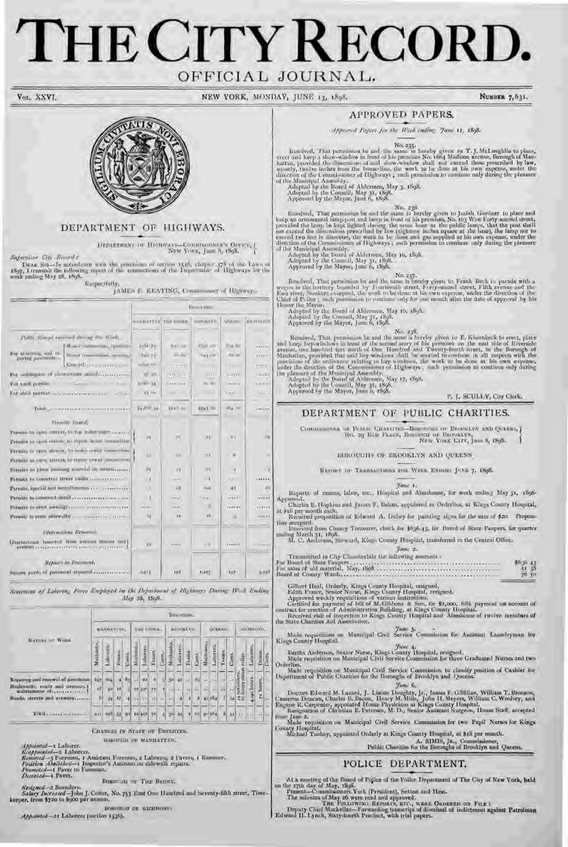# THE CITY RECOR OFFICIAL JOURNAL.

Vor. XXVI.

NEW YORK, MONDAY, JUNE 13, 1898.

NUMBER 7,631.



#### DEPARTMENT OF HIGHWAYS.

 $\label{eq:lognormalization} \begin{minipage}{.4\textwidth} \begin{minipage}{0.9\linewidth} \textbf{PNN}\times\textbf{PNN}\times\textbf{PNN}\times\textbf{PNN}\times\textbf{PNN}\times\textbf{PNN}\times\textbf{PNN}\times\textbf{PNN}\times\textbf{PNN}\times\textbf{PNN}\times\textbf{PNN}\times\textbf{PNN}\times\textbf{PNN}\times\textbf{PNN}\times\textbf{PNN}\times\textbf{PNN}\times\textbf{PNN}\times\textbf{PNN}\times\textbf{PNN}\times\textbf{PNN}\times\textbf{PNN}\times\textbf{PNN}\times\textbf{PNN}\times\$ 

Supervisor City Reserved

DEAR SIR—In actordance with the provisions of seriou 1540, chapter 378 of the Laws of 1897, I transmit the following report of the transmitions of the Tepatrment of Highways for the week ending May 28, 1898. Respectfully,

|  |  |  | JAMES F. KEATING, Commissioner of Highway- |  |  |
|--|--|--|--------------------------------------------|--|--|
|--|--|--|--------------------------------------------|--|--|

|                                                                           | <b>Brumtimis</b>             |                    |                      |               |                |  |  |  |  |
|---------------------------------------------------------------------------|------------------------------|--------------------|----------------------|---------------|----------------|--|--|--|--|
|                                                                           | <b>SANDATIAS THE REGIST.</b> |                    | <b>THERMAN CALLS</b> | <b>UTHERS</b> | roculturali    |  |  |  |  |
| Public Howard contrast devices the Winds.                                 |                              |                    |                      |               |                |  |  |  |  |
| [ Woter commetions, openings]                                             | 3107.30                      | R#/ -: 1           | <b>ASKETHER</b>      | <b>KAA NV</b> |                |  |  |  |  |
| For matures, and re-<br>Shore committees specialize<br>postor postmitike- | Tal 7-                       | <b>Girley</b>      | <b>HABITA</b>        | The care      | 17211          |  |  |  |  |
| Compliance community                                                      | $= 0.000$                    | $-1 - 1 = -1$      | $11 - 1$             | $-1 - 1 -$    | time.          |  |  |  |  |
| For outdington of authoritany antifection con-                            | $31 - 30$                    | 434311141          | 111111               | <b>GYLLO</b>  | (1111111)      |  |  |  |  |
| Кол дам Претиту с советственного принятия в по-                           | $X/Y = -X +$                 | <b>LESECHE</b>     | at an                | 191920        | <b>XBXX RO</b> |  |  |  |  |
|                                                                           | $13 - 10$                    | <b>COLLEGE AND</b> | $1 - 1$              | 188.1         | $\sim$         |  |  |  |  |
| Total gamman contractor commences                                         | $1.2 = 16$                   | 844V.mm            | <b>BOAY TO</b>       | FOR 100       | 189188         |  |  |  |  |
| <b>Xhoothy Jamese</b>                                                     |                              |                    |                      |               |                |  |  |  |  |
| Permits by apen MEDIA, by Bip Water place                                 |                              |                    |                      |               | 100            |  |  |  |  |
| Permits to case streets to report withit connections.                     | 9.4                          | $R_{\rm H}$        | 14.9                 | VI            |                |  |  |  |  |
| Permit to great streets, to ander rower commutions.                       | 0X                           | 8.0                | 次度                   | ia.           | MX             |  |  |  |  |
| Permits to casu attract, turepor texas conominum J                        |                              |                    |                      |               |                |  |  |  |  |
| Permits by place building material on arrests,                            | in.                          | $Y\overline{X}$    | 0.01                 | ×             | $\mathbb{R}$   |  |  |  |  |
| Permits to conserver struct statific convenience of                       | $\rightarrow$                | <b>LEEK</b>        | $\rightarrow$        | <b>FREEZE</b> | $-1000000$     |  |  |  |  |
|                                                                           | $\sim$ 8                     | $-18$              | 31/4                 | 48.           | 21             |  |  |  |  |
| Permits to contract structure conservation of                             | - 8                          | Hm L               | TRAT                 | single for    | <b>APTERY</b>  |  |  |  |  |
| Permits to spect awaing comes a communities                               | 18888                        | $1 - 4 + 1$        | 一日                   | $-0.0144$     | 1.1111         |  |  |  |  |
|                                                                           | NS.                          | m                  | 3h                   | α             | $-11111$       |  |  |  |  |
| <b>Oligracións</b> Rever-di                                               |                              |                    |                      |               |                |  |  |  |  |
| Detroiched femilief from vertices blocks and I<br>gemotives.              | DX.                          | 1000               | $\overline{y}$       | Trease        | 1.148000       |  |  |  |  |
| Repairs to Theoreth                                                       |                              |                    |                      |               |                |  |  |  |  |
| Source your of paramon report is accommodated                             | 6513                         | 128                | 1.125                | 1407          | $3.73^{\circ}$ |  |  |  |  |

Statement of Laboring Force Employed in the Department of Highways Daring West Ending Alay 28, 1898.

|                                                                                                                       | Bannous.         |                         |          |            |             |                       |                 |       |            |                |                      |                      |               |                         |        |           |                                  |             |             |    |
|-----------------------------------------------------------------------------------------------------------------------|------------------|-------------------------|----------|------------|-------------|-----------------------|-----------------|-------|------------|----------------|----------------------|----------------------|---------------|-------------------------|--------|-----------|----------------------------------|-------------|-------------|----|
|                                                                                                                       | <b>HATTAN</b>    |                         |          | THE INTERS |             |                       | <b>BLOVELYN</b> |       |            | IM EERS.       |                      |                      |               | <b>RELIGIONS</b>        |        |           |                                  |             |             |    |
| NATHER OF WIDE.                                                                                                       | Mechanics.       | Laborers                | Teams.   | Carts.     | Meglianics. | Laborety.             | Tuunta.         | Carp. | M+chanics, | $1.41 matrix,$ | $\mathbf{I}$ estens. | Carts.               | Mortsstress   | $\mathbf{L}.a$ Imagens, | Tomms. | Carts.    | roller.                          | Laborers    | Tenns,      | e. |
| Repaying and renewal of payments<br>Bunlevards, mails and avanties, I<br>maintenance of<br>Roads, streets and avenues | $x_2$<br>œ<br>Yл | <b>Strip</b><br>運<br>28 | 12<br>12 | 8H)        |             | 28<br><b>TESP</b>     | w               |       |            |                | <b>TX</b>            | 97.7<br>Seller.<br>ø | w<br>œ<br>450 | 8.2<br>33<br>104        | 8      | w<br>-541 | steim<br><b>SULTIVALES</b><br>ಡಪ | .140 linurs | hairs.<br>z |    |
| This case and                                                                                                         |                  | $228 - 21$              |          |            |             | <b>DVI</b> \$2 4x2 72 |                 |       |            |                | a.                   | 45.                  |               | 401164                  | 쬐      |           | $51 - r$                         | $\sim$      | $-11.1$     |    |

**CHASGES IN STATE OF EMPLOYES.** BURINGER IM MANHATTAN.

Special de Laborer.<br>Ecopeinted—2 Laborers.<br>Removed—3 Foremen, 1 Assistant Foremov, 2 Laborers, 2 Pavers, 1 Rummer.<br>Position Ahelisson—1 Inspector's Assistant on sidewalk repairs.<br>Promoted—1 Paver to Foreman.

Deceased-1 Paver.

BOROUGH OF THE BENNY.

Resigned -2 Sannder Salary Increased-John J. Coiter, No. 755 East One Hundred and Seventy-fifth street, Time-keeper, from \$720 to \$900 per annum.

BORGELLE DE SICHMOND, Appointed-21 Laborers (section 1536).

#### APPROVED PAPERS,

Apprened Papers for the West ending June 11, 1898.

No. 235:<br>Resolved, That permission be and the same is hereby given to T. J. McLoughlin to place,<br>evect and keep a show-window in front of his premises No. 1664 Madison avenue, Borough of Man-<br>hattan, provided the dimension

of the Municipal Assembly.<br>
Adopted by the Board of Abdermen, May 3, 1898.<br>
Adopted by the Council, May 31, 1898.<br>
Approved by the Mayar, June 6, 1898.

No. 236<br>
Resolved, That permission be and the same is bereby given to Josiah Gardner to place and<br>
keep an ornamental hump-post and langt in front of his premises, No. 163 West Forty second street,<br>
provided the lamp be k

Resulved, That permission be and the same is hereby given to Frank Beck to parade with a wagen in the territory bounded by Fourteenth street, Forty-second street, Fifth avenue and the Kast river, Sunday excepted, the work

**Example 1.** That permission is and the same is hereby given to E. Khe-nbeck to erect, place and keep bay-windows in front of the second story of his premises on the exit side of Riverside avenue, one handred test north o

#### DEPARTMENT OF PUBLIC CHARITIES.

 $\begin{tabular}{l|c|c|c|c|c|c|c|c} \hline \textbf{Convexons on} & \textbf{Nonexons on} & \textbf{Theorem} & \textbf{Theorem} & \textbf{Nonexms on} & \textbf{Nonexms,}\\ \hline \textbf{Non-2g K6.8} & \textbf{Nonex.} & \textbf{Nonex.} & \textbf{Nonex.} & \textbf{Nonex.} \\ \hline \end{tabular}$ 

HOROQUIIS OF BROOKLYN AND QUEENS,

BEFORE OF TRANSACTIONS FOR WELK ENTIRE JUNE 7, 1898.

Tune 1.

Reports of census, labor, ere.. Hospital and Alurshouse, for work coding May 31, 1898-Approved. Charles B. Hapkins and James F. Behan, appalmed as Orderlies, at Kings County Hospital,

Received proposition of Edward A. Dubey for painting signs for the sum of \$20. Proposition accepted.

Besteined from County Treasurer, check for \$636.43, for Board of State Paupers, for quarter ending March 31, 1898.<br>ending March 31, 1898.<br>M. C. Anderson, Steward, King, County Hospital, transferred to the Central Office.

# $Imuc$  2.

 $\begin{array}{r} 5636 & 41 \\ 54 & 38 \\ 76 & 50 \end{array}$ 

Gilhert Heal, Orderly, Kings County Hoopfinl, resigned.<br>
Edith Fraser, Senior Nurse, Kings County Hoopfinl, resigned.<br>
Approved weekly requisitions of various matitutions,<br>
Certified for payment of bill of M.Gilbbons & Son

Made requisitions on Municipal Civil Service Commission for Assistant Laundryman for Kings-County Hospital.

For 4, The 4, Ford 4, Rings County Hospital, resigned.<br>Made requisition on Municipal Civil Service Commission for three Graduated Nurses and two

Orderlies. Nacle requisition on Municipal Civil Service Commission to classify position of Cashier for Department of Public Charities for the Boroughs of Brooklyn and Queens.

Fune 6,

Doctors Edward M. Lazard, J. Linton Doughty, Jr., James F. Gilfillan, William T. Bronson, Cameron Demcan, Charles B. Bacon, Henry M. Mills, John H. Meyers, William C. Woolsey, and Eugene R. Carpenter, appointed House Physi

from June 2.<br>Made requisition on Municipal Civil Service Commission for two Pupil Nurses for Kings

County Hospital. Michael Toolcey, appointed Orderly at Kings County Hospital, at \$18 per month.

A. SIM15, Ju., Commissioner, Public Charities for the Boroughs of Brooklyn and Queens.

## POLICE DEPARTMENT.

At a meeting of the Board of Police of the Police Department of The City of New York, held<br>on the 27th day of May, 1898.<br>Present—Commissioners York (President), Sexton and Hess.<br>The minutes of May 26 were read and approved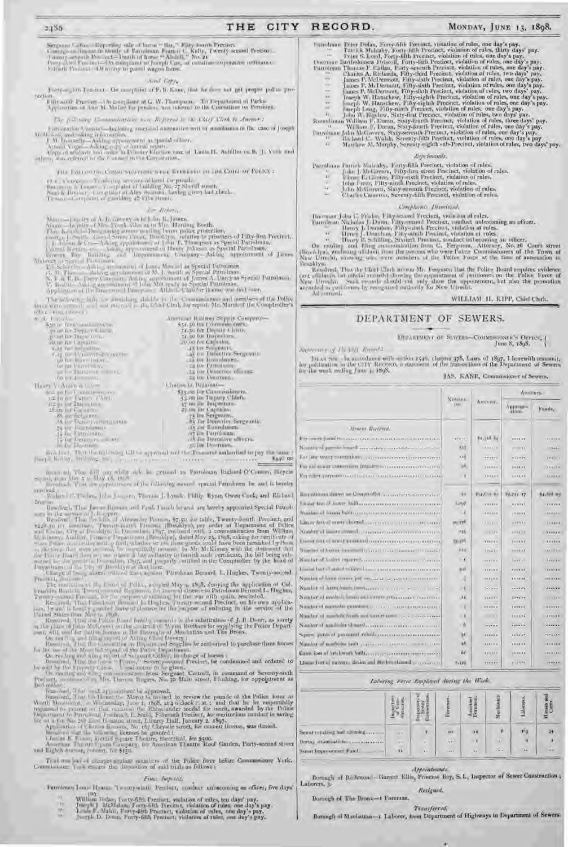#### CITY RECORD. THE

MONDAY, JUNE 13, 1898.

Sengana Galles - Reporting sale of harm " Har," Fifty fourth Precinct.<br>Contagran Research Personly of Taradium Francis C. Kelly, Twenty second Precinct.<br>Twenty severally Pressure - Distribute these " Ahdell," No. 26.<br>Force Elmeli Procurer. All many to pareal wagon bans.

#### Send Cape.

Party-a pain-breaker. On complaint of F. B. Kane, that he does not get proper pultos pro-Tertimi

Fifty and K Pressing - Or complaint at G. W. Thompson. The Department of Parksons.<br>Application of Ann M. Maller for pending was internal to the Committee on Persons.

The following Communications was Represent to the Chief Clerk in Amenet to

 $\label{eq:main} \begin{array}{ll} \text{Corresponding inhomogeneous}-\text{Indining amenidsd structure with a monidance in the case of Joseph M-Momorphism,}\\ \text{M-Momology-Adahog symmetry and a spand-datter.}\\ \text{M-Momology-Adahog symmetry and a spand-datter.}\\ \text{A small Vogal-Mamag theory of a normal region}\\ \text{A spin-dualary and the Pimary Kierian case of Lumall.} \end{array}$ 

 $2.156$ 

LID. FOLLOWING COMMUNICATION: WERE WITH REPORT TO THE CHIEF OF POLICE :

 $(1,1,1)$  a bandwise. To indicating outcrising and formal for parentle, thus prove to a formal  $\lambda$  -  $\lambda$  -  $\lambda$  -  $\lambda$  -  $\lambda$  -  $\lambda$  -  $\lambda$  -  $\lambda$  -  $\lambda$  -  $\lambda$  -  $\lambda$  -  $\lambda$  -  $\lambda$  -  $\lambda$  -  $\lambda$  -  $\lambda$  -  $\lambda$  -  $\lambda$  -

#### for Midway

The milenon-lab is annualized dubbe to the Communions and numbers of the Police force were exampled and rate and to the Charl Clark by report. Mr. Marsted the Compredictive nito c in

| and the property of the control of the con-<br>Ar For all- | American Rathers Stepply Company-<br>536.50 for Commissioners |
|------------------------------------------------------------|---------------------------------------------------------------|
| S2010 Terra annibuction                                    |                                                               |
| ртав па Гера у Сал ч.                                      | <b>LESS for Deputy Chino,</b>                                 |
|                                                            | 11.50.00 Inspectors.                                          |
| growther Inger over.                                       |                                                               |
| <b>IN HE ROLL SHARITY.</b>                                 | are no for Capealm.                                           |
| <b>E-RE THE PERSONATION</b>                                | .15 100 Supports                                              |
| V.M. Bit University Services                               | 45.00 DRACTION Sergeants                                      |
| LEATER MONT PARTL.                                         | as tor troumpances.                                           |
| Art for Elizabeth Q.                                       | <b>ET DE L'ATROMOTOR</b>                                      |
|                                                            | La for LUAGETION THIS HER.                                    |
| WE RELEASED FOR L.                                         |                                                               |
| COLO 4 ALCOHOL VILL                                        | 21 101 Yungguer                                               |
| LEFT V. AGOD & CO.                                         | 3. Turtlee G. Dealerman-                                      |
| Mid get Bar V controls won rec-                            | \$35.00 for Commissioners.                                    |
|                                                            |                                                               |
| recipe for Depart of lants.                                | 4.5 mi for Tarpury Chliefs.                                   |
| <b>FER OF THE THEFT CHANGE</b>                             | 17 two out Inspectors.                                        |
| 15.00 list V-quality.                                      | 25.000 for Lagitality.                                        |
| AN ART ZEL VIRIN                                           | 25 Im Sergeams.                                               |
| AN Die Detective metabolistic                              | . He for Thomative Sorgeanth.                                 |
|                                                            | , as are Kunnalamen.                                          |
| 72 Information and the                                     |                                                               |
| 12 In Lotrodnam                                            | <b>AT LE THIRDREN</b>                                         |
| 72 In Detective mitches.                                   | TAX The Threestove ultimers.                                  |
| Falls & Fall - A Associated Facility                       | and the Department.                                           |

treached. There the fail wing till to approved and the Treasurer authorized to pay the same r Joseph Kiding, dred mag and process are a second controlled  $-1 - 1000$ a thin can

 $\{i=1,\ldots,n\}$  The roll on while  $dA$  is granted to Fornisman Righard CC-mann, Higgels  $\{i=1,\ldots,n\}$  and  $\{i=1,\ldots,n\}$  and  $\{i=1,\ldots,n\}$  and  $\{i=1,\ldots,n\}$ 

bailorox

Budan's C.T. Im, John Josepher, Theman J. Lymb. Philip Ryan Owen Cook, and Richard Nummer

Normalis degli That January Ricanan and Fyad, Israeli be and are bereby appointed Special Patrole on in the article of Mesondar Picaran, 47,50 for table, Twenty-foottli Precinct, and such an increase, Twenty-foottli Picar

From<br>the dimension of the second of Police, according May in 18:8, designing the application of Col.<br>From Fig. 1996, the control of Police and Second the second of Tables, Twenty sounds the state of the second for the war

becomes the set of the set of the set of the set of the field of the Police form at the Police form of the Holine to Nilyon to Nilyon to the location of the control of the set of the set of the set of the set of the set o

To of was had of charges a plast members of the Pulse force before Commissioner Vark.<br>Commission: The whorts the deposition of said trials as follows :

#### FINCI following

- Permiman Louis Heaton Twenty-ninth Precinct, conduct unbaconing an officer, five days'
	- W.
	- $\vdash$
	- HU.
	- William Indae, Forty-fifth Preciser, violation of rules, ten days' pay,  $\{u_{ij}\}$  is the pay,  $\{u_{ij}\}$  is the pay,  $\{u_{ij}\}$  is the pay,  $\{u_{ij}\}$  is the pay. If  $\{u_{ij}\}$  is the pay,  $\{u_{ij}\}$  is the pay. If  $\{u_{ij}\}$  i

Tstrohmas Totes Dolan, Forty-fifth Precinct, violation of rules, one day's pay-<br>
Fatrick Mulcaby, Forty-fifth Precinct, violation of rules, thirty days pay-<br>
Teter 5. Lond, Forty-fifth Precinct, violation of rules, one da

- 
- 
- 
- 
- 
- 
- 

#### Reprimanis.

 $\begin{tabular}{p{0.85\textwidth}} \textbf{Parishman}~\textbf{Paribbs}~\textbf{Nukably, Forry-fithl}~\textbf{Precinct, violation of rules,}\\ \textbf{1.~Mukliverm, }~\textbf{Fdty-first street}~\textbf{Precinct, violation of rules,}\\ \textbf{1.~Mukliver, Fdty-sixth}~\textbf{Precinct, violation of rules,}\\ \textbf{1.~Mukliverm, Nikty-sientl}~\textbf{Precinct, violation of rules,}\\ \textbf{1.~Mukliverm, Sixy-seventh}~\textbf{Precinct, violation of rules,}\\ \textbf{2.~Mukliverm, Sixy-scentl$ 

- 
- 
- 

#### Complaints Dismissed.

- 
- 

Francisco John C. Pristor, Pitty assumed Precinci, violation of rules.<br>
Narrimon Nicholas J. Duran, Pitty examed Precinct, violation of rules.<br>
Theory J. Duranton, Pitty examed Precinct, violation of rules.<br>
Theory J. Dura

Broadbyn.<br>
Broadwal, That the Cherk minora Mr. Ferguson that the Police Board requires evidence<br>
(and oficiavity has only described by the appointment of profitioners on the Police Ferce of<br>
New Utrecht South South strengt Adjournml.

WILLIAM H, EIPP, Chief Cleck.

# DEPARTMENT OF SEWERS.

#### UPPARTMENT OF SLWRES-COUNTSSIONER'S DEPICI-June 8, 1898.

Supervive of the 30th Round 2

Janas Sm. - hem codemo with sellon 1946, chapter 378, Laws of 1897, I berewith transmit, for publication in the CDY. Recover, a statement of the frames tions of the Department of Servers for the week ending June 4, 1898. JAS. KANE, Commissioner of Sewers,

|                                                                        | Numma.<br>T.O.           |                | Alumny.           |                      |  |  |
|------------------------------------------------------------------------|--------------------------|----------------|-------------------|----------------------|--|--|
|                                                                        |                          | AMMUNIC.       | Анатин-<br>alive. | Funds,               |  |  |
| Majore Theerwist.                                                      |                          |                |                   |                      |  |  |
| For ever pennition and treatment contractor to terminal                | 120213                   | BELINK BE      |                   |                      |  |  |
| Namousl permits board and answers a constitution of the to-            | 117                      | 18.000.000     | $28.004$ W.L.     | $1184 +$             |  |  |
| fair any wwa consistent, a commemorate primarines.                     | 118                      | Heiri          | <b>Tristin</b>    | <b>VYELLE</b>        |  |  |
| For this way contentially transfer to conserve conserved and           | 36                       |                | <b>TESE # E</b>   | <b>DEALER</b>        |  |  |
| for aller perpetence continues contraction of the con-                 | - 1                      | 199939         | 1111.11           | 11.844.8             |  |  |
|                                                                        | 0.01                     | Fusion on      | 99.751 17.        | <b>Balling log</b>   |  |  |
| Liniat travial Autor: William communication constructions              | 1,099                    |                |                   | 111111               |  |  |
| Number of Triatra hadfitch in a component in the component of the com- |                          | <b>FRIDAY</b>  | 11333333          | 100000               |  |  |
| Limar front more thanal concerned to the control excessive             | <b>JUL 120</b>           | $11 - 144$     | 4.4844            | 1.188888             |  |  |
| Number of instantibuted concernance commitments on our                 | 155                      | 1.1111         | 111117            | <b>INTERNATIONAL</b> |  |  |
| Linner but at word production concernance contracts                    | <b>Vincent</b>           |                | 311131            | 1111111              |  |  |
| Number of button tomotion hypera mean manager in cerear.               | Wko.                     | 3.03.2.9.9     | <b>CEREFEE</b>    | <b>HATTAN</b>        |  |  |
|                                                                        | $\overline{\phantom{a}}$ | <b>COLLECT</b> | <b>Lessing</b>    | Here in              |  |  |
| Loant betyl start within Lawrence consumers consumers                  | $1000$                   |                |                   |                      |  |  |
| Number of home corner put missing an agreement corner of               | $\bar{x}$                | 11,11,11       |                   | 100 81 8 61          |  |  |
| Number of harm boards from George County and the county of             | $\rightarrow$ C          | x  >  x        | 177776            | GALLER               |  |  |
| Number of module lands and covers attaccount tracerous                 | 14                       | 118181         | TETT LT           | <b>COLOR</b>         |  |  |
| Number of number examined a contract and a construction of             | $\lambda$                | 1111111        | $1 + 1 + 1 + 1$   | $-20001111$          |  |  |
| Number of anywhole freeds and soverthan all, and a sociolizant         | $\cdots$                 | $1 - 1 - 1$ 1  | 1111177           | <b>LESSER</b>        |  |  |
|                                                                        | - 6                      | provision.     |                   | <b>NAVAL</b>         |  |  |
| Square jurist of payment miniberococcocococococococo                   | ъc                       |                | 111117            | <b>HEALT</b>         |  |  |
| Number of manholm until availables agreement communication             | w                        | 1111111        |                   | $-0.000000$          |  |  |
| Cause four of http://work.hullb.com/content/content/content/           | öë.                      | <b>REV.PRE</b> | 28.88.88          |                      |  |  |
| Linux fort of milwroo desing and displomationed proposessed            | 5.181                    | .              | 433374            |                      |  |  |

#### Laboring Force Employed during the Week.

|                                  | ø       |              | m          | <b>Ass</b> | <b>SECOND</b><br>$M$ eal | Laborers |    |
|----------------------------------|---------|--------------|------------|------------|--------------------------|----------|----|
| Sever repairing and elettring    | $-0.7$  |              | $20\,$     | 24         | 윤                        | 11.07    | 54 |
| Bering examination communication | $8 + 1$ | $1 + 1$      | $\alpha$ . |            | (21)                     |          |    |
|                                  | 11      | $\mathbf{r}$ | <b>GH</b>  | $\cdots$   | $\sim$ $\sim$            | ŒE.      | 29 |

#### Appointments.

Borough of Bichmond- Garrett Ellis, Princess Bay, S.I., Impertor of Sewer Construction; Laborers, 3. Retigned.

Borough of The Bronx-i Forentan,

Transferrad. Bornogh of Maniattan-1 Laborer, from Department of Highways in Department of Sewers.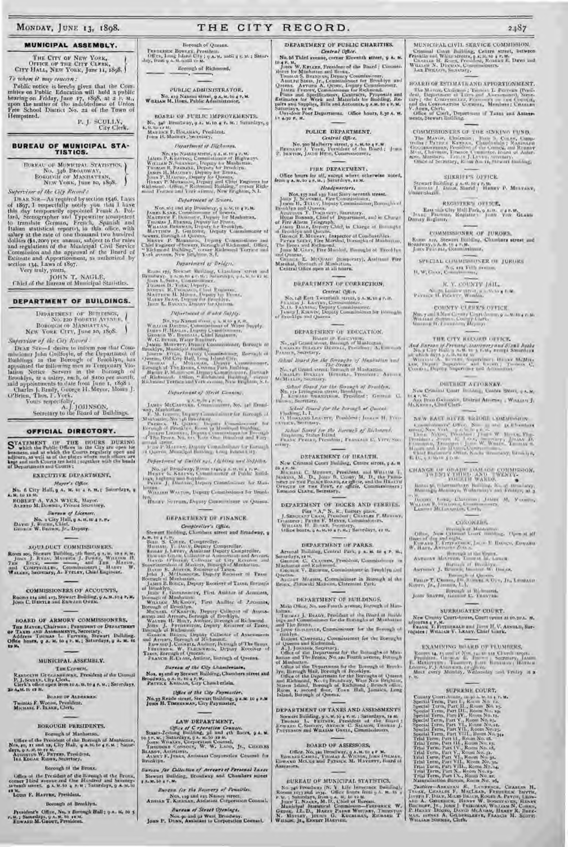MONDAY, JUNE 13, 1898.

#### MUNICIPAL ASSEMBLY.

THE CITY OF NEW YORK, OFFICE OF THE CITY CLERK,  $C1TY$  HALL, NEW YORK, June 11, 1898, To whom it may concern :

Public notice is hereby given that the Committee on Public Education will hold a public hearing on Friday, June 17, 1898, at 2 P,  $N_{\rm H}$  upon the matter of the indebtedness of Union Free School District No. 21 of the To Hempstead.

 $\mathbf{P}_t$ J<br/>- $\frac{\text{SCULLV}_t}{\text{City~Clerk}_t}$ 

# **BUREAU OF MUNICIPAL STA-**<br>TISTICS.

HUREAU OF MUNICIPAL STATISTICS, ) NO. 346 BROADWAY,<br>BOROUGH OF MASHATTAN,<br>NEW YORK, June 10, 1898.

Supervisor of the CHy Records

Supervisor of the  $G/y$  flowers?<br>
DEAR SIR—As required by section 1546, Laws<br>
of 1897, I respectibly pointed Trank A, Tol-<br>
His day temporarily appointed Trank A, Tol-<br>
His day temporarily appointed Trank A, Tol-<br>
lard, St

JOHN T. NAGLE,

Chief of the Eureau of Municipal Statistics,

# DEPARTMENT OF BUILDINGS.

NEW YORK CITY, June 10, 1898.

Supervive of the City Reved. Superviser of the City Across Correlation for the Constant plan (Superviser of the Department of Buddings an the Berough of Brooklyn, has appointed the following near ay Temporary Violation Notice Servers in the Berough o

#### OFFICIAL DIRECTORY.

STATEMENT OF THE HOURS DURING SURVEY which the Public Officer in the City are open for heatans, and at which the Courts regularly open and adjourn, as well as of the place where such others are kept and unit Courts are he

**EXECUTIVE DEPARTMENT.** 

Mayor's Office. No. 6 City Hall, g A. M. 10 4 F. M. r. Samulays, g A. M. to as in

**ROBLET A. VAN WYCK, Mayor.**<br>ALERTO M. DORSEL, Private Startings.

Survay of Licenses. No. 2 City Hall, g A. H. W 4 F. P. Davis J. Ruent, Chief.<br>Davis J. Ruent, Chief.<br>Dryner. W. Brown, Jr., Dryner.

#### AQUI DUCT COMMISSIONERS.

Room ass, Strautt Building, 201 Bonr, 9 x.8, 10 x x, 8, 10 Junis J. Prass, Massen, Witness J. Prass, Witness H. The Time Marine Contributions of the Time Marine, W. Watson, Secretary, A. Frenew, Chief Engineer.

COMMISSIONERS OF ACCOUNTS, Rooms are and 117, Stewart Building, 9 A. M. 104 P. R.

**BOARD OF ARMORY COMMISSIONERS.** THE MAYOR, COMMITTEE OF THE MATHEMATIC OF TAXES AND ASSESSMENTS, SECRETY.<br>Address Toomas L. Furning, Secretary.<br>Address Toomas L. Furning, Secretary.<br>Office hours, 9 A. M. 10 4 F. M.; Saturdays, 9 A. M. 10<br>15 M.

#### MUNICIPAL ASSEMBLY.

THE COUNCIL

Rampourn Grocessmanns, President of the Comoni F. J., Scort., City Chris, President of a. w., a Saturdays.<br>29 A.M. to ex H.

**MOVED O** TROMAS F. WOODE, President.<br>MICHARL F. BLAKE, Clerk.

#### **BOROUGH PRESIDENTS.**

Bornugh of Manhattan,

Uffer of the President of the Burnugh of Montoinan,<br>
Nos, 10, 21 and 12, City Hall. q.a. 84 to 4 c.m.; batur-<br>
days, 0 A.g. for the res at.<br>
The Linuxus W. Prepris, Freddent,<br>
16. Endan Rinns, Secretary.

#### Gorough fit the Bronx.

Office of the President of the B-wough of the Bronz, corner I hard we<br>come and One Hardferd and Seventy-several saves.  $g \propto M, 10 \times 10^{-1}$  Saturdays,<br> $g \propto M, 10$ Louis F. HAFFIN, President.

#### Bornugh of Branklyn.

President's Office, No. x Borough Hall + q.s. 84 to 5  $M_{\star}$  ; Samrdays,  $g$   $\wedge,$   $M_{\star}$  to  $\star$  a  $M_{\star}$ 

#### THE CITY RECORD.

Borough of Queens.

FREERIES BOWLEY, Fresident,  $\begin{array}{c} \text{Fermiex} \\ \text{Off}\, \text{Ch}_1\, \text{Long}\, \text{1-dnot}\, \text{City}\, ;\, \eta\, \text{A}\text{-M}\, \text{anti}\, \eta\in \mathbb{M}\, ;\, \text{Saturb} \\ \text{day}\, \text{from}\, \eta\, \text{A}\, \text{M}\, \text{unitif}\, \text{m}\cdot \text{M}. \end{array}$ Becough of Ricksound,

PUBLIC ADMINISTRATOR, No. 230 National street, 9 A. M. to 4 P. M.<br>WILLIAM M. House, Public Administrator,

BOARD OF PUBLIC IMPROVEMENTS. No. 346 Musiciway,  $g$  & M.10  $\epsilon$  F. 36.1 Saturdays,  $g$  & M.10  $\epsilon$  F. Honsides, Presidenti Journal is the Manuscript of the Manuscript of the Manuscript of the Manuscript of the Manuscript of the Manuscript of the Manu

Department of Ilichauses.

 $\label{eq:20} \begin{array}{ll} \textit{Department~of~The} & \textit{The} & \textit{The} & \textit{The} & \textit{The} & \textit{The} & \textit{The} & \textit{The} & \textit{The} & \textit{The} & \textit{The} & \textit{The} & \textit{The} & \textit{The} & \textit{The} & \textit{The} & \textit{The} & \textit{The} & \textit{The} & \textit{The} & \textit{The} & \textit{The} & \textit{The} & \textit{The} & \textit{The} & \textit{The} & \textit{The} & \textit{The} & \textit{The$ 

## Department of South,

Tepartment of Source,<br>
Nos. 25, and 247 Broadway, p. a. 34, 10 4 7. M.<br>
JANES KARS, Commissioner of Servers.<br>
MALITAINE F. Discourt, Deputy for Mandattan,<br>
Thistas Broadway, Deputy is 1 Front,<br>
Whatais Broadway, Deputy is

#### Department of Bridges.

Rroad 199, Stewart Building, Chambers, stront and Remarks),  $\eta$ Acaten, 4 Corresponding and Academic Corresponding  $\eta$ , and  $\eta$  and  $\eta$  and  $\eta$  . There is the  $\eta$  control of  $\eta$  and  $\eta$  and  $\eta$  and  $\eta$  and  $\eta$  a

Rx

Difference of Water Supply.

 $\label{eq:20} \begin{array}{ll} \textit{Pyterl}\textit{metric} & \textit{if} \textit{after} \textit{GQ}/Q\textit{t},\\ \textit{for,2}\textit{in}, \textit{for,3}\textit{in}, \textit{for,4}\textit{in}, \textit{in}, \textit{in}, \textit{in}, \textit{in}, \textit{in}, \textit{in}, \textit{in}, \textit{in}, \textit{in}, \textit{in}, \textit{in}, \textit{in}, \textit{in}, \textit{in}, \textit{in}, \textit{in}, \textit{in}, \textit{in}, \textit{in}, \textit{in}, \textit{in$ 

## Department of Nired Consine.

JAMES McCantrast, Commonwealth, No. 340 Broad-

Way, Mariattan, Dippey Commission play theoretical Mariattan, Dippey Commission play theoretical Mariattan, Paper Commission and Paper Commission and Paper Commission and Paper Commission and Paper Commission and Paper Com

and street.  $\label{eq:decomp} \begin{array}{ll} \mbox{and} \hspace{0.1cm} \mbox{str.}\hspace{0.1cm} \mbox{the} \hspace{0.1cm} \mbox{the} \hspace{0.1cm} \mbox{the} \hspace{0.1cm} \mbox{the} \hspace{0.1cm} \mbox{the} \hspace{0.1cm} \mbox{the} \hspace{0.1cm} \mbox{the} \hspace{0.1cm} \mbox{the} \hspace{0.1cm} \mbox{the} \hspace{0.1cm} \mbox{the} \hspace{0.1cm} \mbox{the} \hspace{0.1$ 

Pepartment of Taribil vas, Lichting and Stiffiter-

 $\begin{array}{l} \text{Initial} \\ \text{W} \text{max} \text{W} \text{max} \text{Depu} \\ \text{W} \text{max} \text{W} \text{max} \text{max} \text{sum} \text{max} \text{max} \end{array}$ 

**BARY SUTHING DEPRY COMMUNIST DE QUEENE** 

#### **DEPARTMENT OF FINANCE.**

Complexiler's Office. Stewart limiting, Chambers street and Broadway, a

Stewart Holling, Charles street and Brandway, a<br>
Bowsett Holling, Charles street and Brandway, a<br>
Bowsett, The Pack Congress computables.<br>
Housing T. Dativ, Departy Computables.<br>
Housing T. Dativ, Departy Computables.<br>
The

Bureau of the City Lhamberlain.

Nos, as and ay Stewart Building, Chambers street and<br>roadway, 9.4. in tu 4.9. W.<br>Parvick, Kansan, City Chamberlain.

Office of the City Paymenter. Na.33 Reade street, Stewart Bailding, 9 a.M. 10 + P.M.<br>Joset H. Thamsanas, Uny Paymaster,

#### LAW DEPARTMENT.

 $\begin{array}{ll} & \text{QWee of $C$ r/operation Council,}\\ \text{Stants-Zculing} & \text{Imiding, 3d and 4th floor, 9 L. M.}\\ \text{Sex.}, & \text{Sathrulings, 9 A. M. to 2B. M.}\\ \text{Jons: Waxlars, Corporation Council, 1.}\\ \text{TumOous n % conversion}, & \text{W. W. Laton, 1r., Cucanss} \end{array}$ 

BLARET, ASSESSMENT Corporation Council for **Broughton Survey for Collection of Arrests of Personal Laxes** 

Stewart Building, Broodway and Chambers street

Burgen for the Receivery of Possibles.

Nos, 119 and set Nassau verest.<br>Annuas T. Kirinian, Andatani Corporation Counsel. Bureau of Street Openings.

Jons P. Duss, Amistian to Corporation Counsel.

DEPARTMENT OF PUBLIC CHARITIES. Central Office.

2487

MUNICIPAL CIVIL SERVICE COMMISSION.

Crimonal Catri Building, Centre street, butween<br>Franklin and Waltz-Streets, a.s.140 4 P.M.<br>Crimonal Catri B. Resets, a.s.140 4 P.M.<br>Charles B. Resets, President, Routes F. Davis and Lon Pirtters, Seattler,

BOARD OF E-TIMATI AND APPORTIONMENT.

The Mayor Chairman Photo APPORTIONMENT.<br>
The Mayor Chairman Photos L. Furnish Creations of Lines.<br>
Lepton Contraction Communication Contraction Contraction Contraction Communication<br>
V. Apen, Cherk, Department of Taxas and

COMMISSIONERS OF THE SINKING FUND,

The Mayon, Chairman, Theory Course, Campanidae (Marinez Kristan, Chaulertahe , Namester Geographical (Marinez Kristan, Chairman, Chairman, Chairman, Chairman, Chairman, Chairman, Chairman, Chairman, Chairman, Chairman, Ch

Stewart Railding, y A. 81 10 4 P. M.<br>Thuntas J. Hanny, Sharid J. Hanny P. Meavazy,<br>Umartsberill. SHERIFF'S OFFICE.

REGISTER'S OFFICE. East - D City Hall Park 9 A.M. 7 4 K.M. Death Denny Bigliam, Register 1 June Year Grass

COMMISSIONER OF JURORS. Room are, Stewart Building, Chambers street and Broadway, a A. 0. to a r. 8.

SPECIAL CUMMISSIONER OF JURORS

R. Y. COUNTY ISIL. New Luther with a scholar to a

COUNTY ULERES OFFICE.

 $\begin{array}{l} \mbox{Nm},\;\gamma=1.57\ldots C\ \mbox{mm},\;C\ \mbox{mm},\;C\ \mbox{mm},\;c\to\gamma\ \mbox{mm},\; \alpha\to\alpha\ \mbox{mm},\; \alpha\in\alpha\;\\ \mbox{Nm},\; \mbox{Gam},\;\; \mbox{Sum} \; \mbox{m},\;C\ \mbox{mm},\; \gamma\ \mbox{cm},\;C\ \mbox{mm},\; \alpha\in\alpha\;\\ \mbox{Nm},\; \alpha\to\alpha\ \mbox{mm},\; \alpha\to\alpha\ \mbox{mm},\; \alpha\to\alpha\;\\ \mbox$ 

THE CITY RECORD OFFICE.

 $Aut\;Barsan\;p$  Persons, someower and  $\mathcal{S}(m)$  basis No.s City Rails  $g$  a.m.  $v$  is  $g$  to  $g$  and  $\mathcal{S}(m)$  someone of  $\mathcal{S}(m)$  and  $\mathcal{S}(m)$  . We are the some of the source of the source of the source of the source o

DISTRICT ATTORNEY. New Criminal Court Building, Centre Steve, p.s. M.

**MARY MARK CARDINAL DISTRICT ACCESS 1 WILLIAM J.**<br>McKRowan, Chief Clerk.

NEW KAST RIVER REDGE CONMISSION.

 $\begin{tabular}{l|c|c|c|c|c|c|c|c} \hline \multicolumn{3}{c}{\textbf{CHAS}} & \multicolumn{3}{c}{\textbf{CHAS}} & \multicolumn{3}{c}{\textbf{HAS}} & \multicolumn{3}{c}{\textbf{HAS}} & \multicolumn{3}{c}{\textbf{HAS}} & \multicolumn{3}{c}{\textbf{HAS}} & \multicolumn{3}{c}{\textbf{HAS}} & \multicolumn{3}{c}{\textbf{HAS}} & \multicolumn{3}{c}{\textbf{HAS}} & \multicolumn{3}{c}{\textbf{HAS}} & \multicolumn{3}{c}{\textbf{HAS}} & \multicolumn{3$ 

Konsert WARDS.<br>Rossi M. Chermanicus Building, No. of Himshapy,<br>Moningly Motorsys, Walamasy's ant Protect, at a

Honor Lorr, Christman Jakin M, Franks, Warren, Warren, Karlon, Communist, M, Franks,

CORONEIN.

 $\begin{array}{ll} \text{Hom}_{\mathbb{C}}(T), & \text{Hom}_{\mathbb{C}}(T) = \mathbb{C} \text{Hom}_{\mathbb{C}} \\ \text{Hom}_{\mathbb{C}}(T), & \text{Hom}_{\mathbb{C}}(T), & \text{Hom}_{\mathbb{C}}(T), \\ \text{Hom}_{\mathbb{C}}(T), & \text{Hom}_{\mathbb{C}}(T), & \text{Hom}_{\mathbb{C}}(T), \\ \text{Hom}_{\mathbb{C}}(T), & \text{Hom}_{\mathbb{C}}(T), & \text{Hom}_{\mathbb{C}}(T), \\ \text{Hom}_{\mathbb{C}}(T), & \text{Hom}_{\mathbb{C}}(T), &$ 

SURROGATES' COURT. New County Courtshouse, Court opens at 10.30 A. M. Foods 17, M.<br>Moons 4 P.M. County, Ann and June H. V. Austrian, Sur-<br>rogates : Witaliam V. Lizary, Chief Gorde.

EXAMINING BUARD OF PLUMBERS.

SUPREME COURT,

Watters-American R., Bandwood, Chanters H., Though, Chanter F, MacLeazy, Fremtheir, Eurine, American A. Chanters H., David A. Chanters H. David A. Channel, Howev, W. Doorsteven, History, Lines, Channel Bissele Bissele Hist

r. q.

 $W_1 \times \cdots \times W_n$  for  $\mathcal{F}$  and  $\mathcal{F}$  and  $\mathcal{F}$  .

No. 56 Third avenue, corner Eleventh street, 9 A. M.

#### POLICE DEPARTMENT. Central Office.

No.300 Mulberry strest, g s, w, to 4 r. W. BERNARD J. VORE, Persident of the Board; Jons. P. Saxyaw, JACOB Hrss, Commissioners.

#### FIRE DEPARTMENT.

Office hours for all, except where otherwise noted, from  $q$  A.  $m,$  to  $q$  P.  $m,$  2 Saturdays, as  $m$ . Hadswarters,

 $\label{eq:3} Radymerizer, \\ \begin{tabular}{c} \multicolumn{2}{l}{Rbadqwergerz,}\\ \multicolumn{2}{l}{\text{Not, 197--Ned, 16}} \end{tabular} \begin{tabular}{l}{\text{Not, 197--Ned, 16}} \multicolumn{2}{l}{Ract, 2811} \end{tabular} \begin{tabular}{l}{\text{A.} For example,\\ \multicolumn{2}{l}{\text{A.} For example,\\ \multicolumn{2}{l}{\text{A.} For example,\\ \multicolumn{2}{l}{\text{A.} For example,}\\ \multicolumn{2}{l}{\text{A.} For example,}\\ \multicolumn{2}{$ 

#### DEPARTMENT OF CORRECTION,

DEPARTMENT OF EDUCATION.  $\begin{array}{c} \text{Rvaven} \text{ for some values}\\ N_{\text{C-PA}} \text{ Geand order} \text{ for some } \text{M} \text{ and } \text{with } \text{C} \\ \text{ for some R} \text{ Bitend} \text{ for some } \text{L}_r \text{ Theorem 3, Cauchy} \\ \text{Patant} \text{ is, Sharty} \text{ for every } \text{Bit} \text{ and } \text{L}_r \text{ the other } \text{A}. \text{ Theorem 3,} \end{array}$ 

 $\label{eq:optimal} \begin{array}{ll} \textit{Rekml\ linear} & \textit{Next of the Every $p$-} if \textit{if } \textit{if } \textit{if } \textit{if } \textit{if } \textit{if } \textit{if } \textit{if } \textit{if } \textit{if } \textit{if } \textit{if } \textit{if } \textit{if } \textit{if } \textit{if } \textit{if } \textit{if } \textit{if } \textit{if } \textit{if } \textit{if } \textit{if } \textit{if } \textit{if } \textit{if } \textit{if } \textit{if } \textit{if } \textit{if }$ 

 $\begin{array}{ll} & \textit{Stabord\ Lbend\ Lor\ Lte\ from\ x\hbox{$\sim$}~for\ and\ for\ which\ n,\\ & \textit{Ne.\,}~if\ \textit{Livingian\ at\ }to\ \textit{Re\,}~if\ \textit{in}\ and\ \textit{Im\,}~if\ \textit{in}\ and\ \textit{Im\,}~if\ \textit{in}\ \textit{in}\ .\\ & \textit{Le\,}~if\ \textit{in}\ \textit{in}\ \textit{in}\ \textit{in}\ .\\ & \textit{One.\,}~if\ \textit{in}\ \textit{in}\ .\\ \end{array}$ 

School Rearch for the horsest of Queens<br>Undoms L L .<br>O. Howards Leaverty, Possibent; Joseph H, Free<br>Venus, Sectionry.

schial Barril for the Jarouch of Blohmend.<br>Baytenni Stillan Diant<br>Frank Peezer, Presiding, Patrician C., Vere, Soc.

DEPARTMENT OF HEALTH.

Now Criminal Contr Huilding, Centre street, g A. W.

 $10 + r$ . M. 1994. C. Mirmury, President, and WH3-1A4 T, Michigans, M. D., Jones B. Costy, M. D., the Prominent press of the Palace Boxers, exception, condition the strategy of the Hardton Original Crane, September, excepti

DEPARTMENT OF DOCKS AND FIRRILS.

DEPARTMENT TO REVAIL PROPERTY (MARY PRODUCT)<br>
J. SERGINAL PRODUCT COMMUNICATES F. MUSIC PRODUCT CONSIDER COMMUNICATES.<br>
VILLANS II, BUSSEN, SACRISTY, COMMUNICATES.<br>
VILLANS II, BUSSEN, SACRISTY, COMMUNICATES.

DEPARTMENT OF PARKS.

Arsenal Bailding, Central Park, p & M, he & P. M., Simplays, 12 <sup>at</sup>, Cr. 10886, Preddent, Commissioner on Hanaatsi and Richmond.<br>Manaatsi and Richmond.<br>Tissuage V. Busseau, Commissioner in Headilyn and

Archer Magner, Containancer in Romach of the Empx, Zimesski Manson, Claremont Park.

DEFARTMENT OF BUILDINGS.

Main Office, No. 220 Fourth avenue, Borough of Man-

Main Officer, No. 200 Folich avenue, Barough of Man-Intmo.<br>
Immains J. BeADY, President of the Rearch of Uniterlations in the Man-International formula and Communisties of Manhatina and Place Herms (Antinett, Communisters

DEPARTMENT OF TAXES AND ASSESSMENTS Stewart Building,  $y \land M$ , to  $y \land M$ , Saturdays, 18 M. Tromas L. Farreitz, President at the Barrit Loret Lines J. Parreits on a Department Pressure .

Office, No. 386 Hrondway, 3 A. M. to 4 B. Hr. Enwans Cawith, Timodas A. Witson, John Dutsas, Lowans Cawith, Street, M. Haveney, Itania of Assessors,

**GUREAU OF MUNICIPAL STATISTICS.** 

EUREAU OF MUNICIPAL STATISTICS,<br>
Noons regy Recordingly, V Life Insurance Building),<br>
Rooms regy and args. Office haves from y A. M. In +<br>
F.W., Schiedlers, from a A. M. Gr to M.<br>
Juard T. Mocker, M.J., Chief of Eureau.<br>
M

citier.

Queens

Central Offer. No. 148 East Twential Mirich, 9 A. M. 18 4 P.M.<br>Phaseis J. Lawrey, Commonioner.<br>N. U. Pataluca, Deputy Commonioner.<br>N.U. Pataluca, Deputy Commissioner.<br>Ivanis J. Krawbe, Deputy Commissioner.<br>Ire Roomagha of Roomission and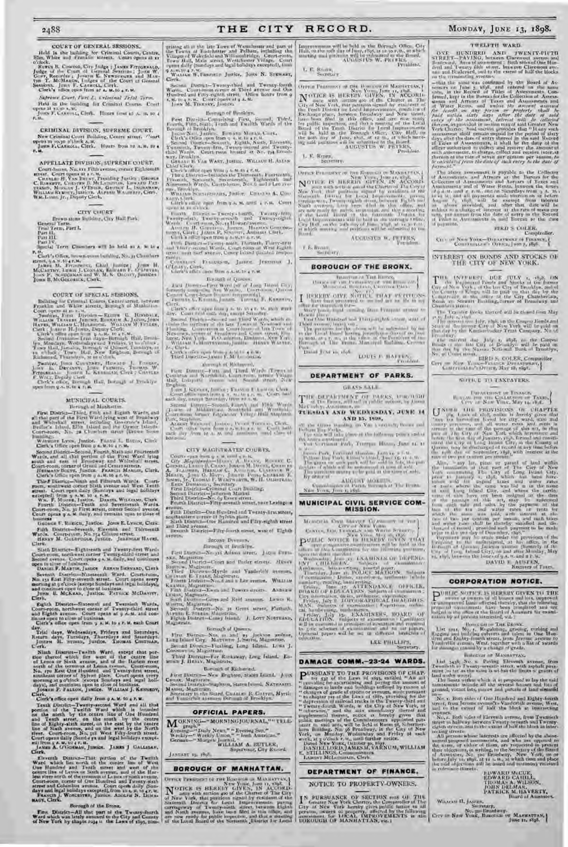#### COURT OF GENERAL SESSIONS.

Held in the building for Criminal Courts, Centre, Elm, White and Franklin stream. Court opens at reductions. Never a transfer of the Court of Green Streams and Manuscript Court of Green Manuscript Court of Green Manuscript Court of the Court of Green Court of Manuscript C

*Sxpreene Court, Tart I., Criminal Trial Term.*  Held in the building for Criminal Courts. Court opens at to,;o A.m.<br>John F. Carrol.L, Clerk. Hours from at A. N. to 4<br>P. D.

CRIMINAL DIVISION, SUPREME COURT. New Criminal Court Building, Centre street. Tourt<br>ppens at 10,30 O'clock A.M.<br>Johnn F, Carroll, Clerk. Hours from to A.M. to 4<br>P.M.

#### APPELLATE DIVISION, SUPREME COURT,

Court-house, No. tri Filth cremic, comer Eighteenth<br>green, Court opens at  $r \sim n$ ,<br>Counter H, Vas Burer, Presiding Justics ; George<br>C, Hawkerr, Cricster B, McLamuran, Kiesaro Particular Schenzer, McCaaw J, O'Erico, George E

#### CITY COURT

Brown-stone Building, City Hall Park.

General Term. 'Trial Tern, Part I. Part 11.

Part 111. Part IV.

Special Term Chambers will be held to A. M. to 4 P.M. Clerk's Office, brown-stone building, No. 32 Chambers

street, 9 A.M. to 4 Y.M.<br>JAMES 11. FbZoINros, Chief Justice; John H.<br>McCarthv, Lewis J. Contan, Edward F. O'Dwyrae,<br>John B. McGoroan & Clerk.

COURT OF SPECIAL SESSIONS.<br>Bellung he Criminal Courts, Centri struct, letwom<br>racking and White structs, Burough of Musication

Bellung for Criminal Courts, Genin tempt in<br>the Letwer Court speed of Musician Properties and Walkers Court speed of<br> $\alpha$ . The Displaces Court speed of the Hindu<br>speed of Walkers Walkers Walkers (Figure 18, 1993), Walkers

Sunday, June Countsey, Howard J. Toward,<br>John L. Devenis, John Fremin, Thomas W.<br>Frankale, John Less Willies, Thomas W.<br>F.Watr, Deputy Cert.<br>Clerk and C. Roman Ball, Boungh of Brooklyc.<br>Sherk and C. Roman Ball, Boungh of B

#### MUNICIPAL COURTS. Borough of Manhattan.

First District-Third, finds and Eighth Wardward<br>all that part of the First Ward lying west of Broadway<br>and Whiteleall, terms, including Governor's bland,<br>Beillie's Island, Ellin Island and the Orster Island,<br>Contrasson, No

Funding. Levels, Junior. Funding 1. Battles, Clinic Circle Watters (Fig. 2014). Second District – Second District Levels, Second Distribution and team of the person of the Fourier Fourier second. Next below that the perso

GEORGE F. ROESCH, Justice. JOHN E. LYNCH, Clerk. Fifth District—Seventh, Eleventh and Thirteenth Wards. Court-room, No. 754 Clinton street. HENRY M. GOLDFOGLE, Justice- JEREMIAH HAYES,

Clerk.

Sixth District—Eighteenth and Twenty-first Wards Court-room, northwest corner Twenty-third street and Second avenue. Court opens 9 A. M. daily, and continues open to close of business. DANIEL F. MARTIN, JUSTICE ABRAM BERNARD, Clerk

Sectant: District-Numional: Ward. Court-tone, Ne. 13 Kart Fifty-sweeth street. Court-spear avery<br>meming at policie (neerpl Sandays and legal holidays),<br>nething at policie (neerpl Sandays and legal holidays),<br>Jones B. McKex

Euclich District-Sixteenth and Twentisch Wards, Conti-room, northwest corner of Twenty-third struct black dighth avenues. Court repeat at  $y$  A.M. and continues black of black of business. Clerk's office open from  $y$  A.M.

day. Wednesdays, Fridays and Saturdays.<br>Return days, Tuesdays, Thursdays and Saturdays.<br>Joseph H. Syness, Justice. Thomas Costruas.<br>Cerk,

Ninh District--Twitth Ward, except that portion thereof which line west if the centre line of Linear set in the centre international of the terminum of Linear average, Court-room, Contraction, Neutral Neutral Neutral Manus

Clerk's office open daily from 9 A. M. to 4 P. M.

Teach District-Twenty-second Ward and all that<br>portion of the Twelfth Ward wildth is tounded<br>not the north by the centre line of One Hundred<br>and Tenth street, on the aouth by the centre<br>line of Eighty-sixth scener, on the sui from a A. U.10 4 r. a.<br>James A. U'Gorman, Justice. JAMES J GALLIGAN, Clerk.

Clerk, Ward Dinter-That puttion of the Twellth Ward which has north of the centre line of West One Hundred and Tenth street and west of the centre line of the Hundred and Tenth street and of the Hundred fraction of the Hun

#### Borough of the Bronx.

First District—All that part of the Twenty-fourth Ward which was lately annexed to the City and County of New York by chapte rty4 o the Laws of 3895, com-

reising all at the late Tuwe of Westchester and part of<br>the Towns of Tectohester and Pelhara, including the<br>Villages of Wolvefield and Williamsbridge, Court-room,<br>Town Hall, Main arreet, Westchester Village, Court<br>opens da 9 A. M. to 4 P. M. Cuprietto Justice, John N. STEWART, Clerk,

Second District—Twenty-third and Twenty-fourth and Twenty-fourth street.<br>Wards. Court-room corner of Third avenue and One<br>Hundred and Filly-eighth street. Office hours from 9<br>1, Howa M. Thursky, Justice.

#### Borough of Brooklyn.

Fret District-Comprision First, Second, Third, Boroth, First, Search, Thin, Sigab, Jeannal Twiller, Borongh of the Boom Nationally, Leads and Twiller, Clerk, Clerk, Search, Search, Search, Search, Search, Search, Search, S

Clerk's office open from 9 A. M. to 4 P. M.<br>Third 10 streen—Includes the Thorteenth, Fourteenth,<br>Filmonth, Sixteenth, Seventeenth, Eighteenth and<br>Nineteenth Wards, Costribenta, Nos. 6 and 8 Lee ace-

nne, Rendelyn, ...<br>Wu.LIAM Scuninsian, Justice. Cirsonia A. Cun-

s.Ans., Clerk. Clerk's office open from 9 A. M, until 4 r, nt. Court )uenc at to o'clock.

 $\text{Length}$  . Hiercit = Twenty than<br>the  $\text{Ts}$  -range fifth,  $\text{V}$  -range fifth, Twenty<br>state  $\text{Cov}(\text{tr}(\mathbf{m},\mathbf{m},\mathbf{X}),\mathbf{q})$  . Wands  $\text{Cov}(\text{tr}(\mathbf{m},\mathbf{m},\mathbf{X}),\mathbf{q})$  the<br>analyse construction of  $\text{Cov}(\mathbf{m},\mathbf$ 

Fifth District—l'wenty-math, 'Thirtieth, Thirty-first and 'Shiny :ccond W,o ls. Court-rooin on West Eighth street, near Surf avenue, Coney Island (located teutpo-

rarily).<br>O'Connects: Francisco, Justice. Jeresuah J,<br>Connects office oper from q A.M.D. (7.M.

Borough of Queens.

First Directo—First Word (all of Long Tskins City, 1999).<br>General composition Pro Ward, Court-Itouse, Queens<br>Court-Court-Itouse (located ten polarity).<br>Clerk.

Clerk's office open front 9 A. st. to 4 P. V. each week day. Court heir] each day, except Ssrturday. Second Distribute 1-Second and Thard Worth, which as the first of the large space of the large space of the large space of the large space of the large space of the large space of the large space of the large space of the

## Clerk's Hulce open from 9 A. St. to 4 P.M. Third District—JAstE; F.MLLot'GHLIN.

therough of Richmond. First District,—First and Therd Wards (Towns of<br>salistan and Northboart Court from them ( Thirds and<br>all, Collywill - system and Street Street, New

Continuous Barthman Court man, armie Village<br>
Englishe, Liveran and Sound armie Nilage<br>
Englishe, Liveran and Sound armie Nilage<br>
Livera Liveran and Sound Livera Court<br>
Livera distribution Sound Livera Court mass and Sound

#### CITY MAGISTRATES' Cf)URTS.

Corresponding to the state of the set of the Corresponding Corresponding the Section McDivideo Corresponding Material Section 1, 1990, Corresponding Material Corresponding Section 1, 1990, Corresponding Section 1, 1990, Co

Fink District-One Hundred and Twenty-first street,

southeastern corner of Sylvan place. Sixth District—One Hundred and Fifty-eighth street

and Third avenue. Seventh District—Fifty-fourth street, west of Eighth avenus.

#### SECOND DIVISION.

Form District Neutrine<br>
New Algorithm (1995, Japan District Neutrine<br>
Second Universed District Neutrine<br>
Burrow, Magissimo, Magissimo, Magissimo, Magissimo, Magissimo, Magissimo, There is District Neutrine Final Process a

Borough of Queens. First District—Nos. 21 and 23 Jackson avdnue, Long Island City. Magistrate. J. Smith, Magistrate.<br>
Second Diversion-Flushing, Long Island. LUKE J.<br>
Second Diversion. Magistrate.

Third District—Far Rockaway, Long Island. ED-MUND J. HEALY, Magistrate.

Borough of Richmond.

First District— New Brighton, Staten Island. JouN CROAK, Nations— New Brancon, Staten Island. 1998.<br>Crooks, Magneton.<br>Second District—Sapleton, Staten Island. NATHANIEL.

MARSH, Magi-irate. Secretary to the Board, Ctmai1Es Il. COATES, Myrtle an( Vanderbilt a)enw-s, Ilurough of Brooklyn.

#### OFFICIAL PAPERS.

 $M^{\text{OKNING--MOKNING-10URNAL}$ "" TELE. Weekly—" BOKNING JOORNAL, " The Bonner" Boksely Union," " Evening Sun."<br>Weekly —" Weekly Union," " Irish American,"<br>German—" 11orgen Journal," " WILLIAM A. BUTLER, " Supervisor, City Record.<br>JANUARY 15, 1897.

#### BOROUGH OF MANHATTAN.

OFFICE I'LESIDISC OF THE ECRITICS OF MANHAII AN, t Romina ar Manistava.<br>New Your, June 11, 1898. N OTICE IS HEREBY GIVEN, IN ACCURD-<br>of New York, that paintons send the Clurer of The City<br>of New York, that paintons signal by estations of the<br>external District for Lord University rations in the contractor of Twenty-noi Improvements will be held in the Borough Office, City<br>Hall, en the soft day of Junc, 29%, at at which at which<br>meeting said petitude will be admitted to the Board.<br>AUGUSTUS W, PICI Treadent.

TWELFTH WARD.

ONE HUNDRED AND TWENTY-THTTH STREET THE BOOM AND A STREET BETWEEN AND BETWEEN BOOM and The party and Bettlemann and The party of the street between Clare contractions and The party filed street, between Clare coordinates a

= that the same was confirmed by the Board at Assessmes on funeral on the same as only used to the case of the same for the barrow of Same formed, kept in the Board for the same formula and assessmests. Considering the pr

The above assessment is payable to the Collector

of Assessments, and Attracts are the Bureau for the Collection of Atsessments, and Attracts and a Parson of Dass and a following the form of  $\lambda$  as the form of  $\lambda$  and a rest, and an extent Rental particle form in a bur

CIT IN Now Your Department of Finance, Counting of 2' Indianance

INTEREST ON BONDS AND STOCKS OF TILE CITY OF' NEW YORK.

 $\begin{array}{ll} \bullet\hspace{-6pt} \bullet\hspace{-6pt} \bullet\hspace{-6pt} \bullet\hspace{-6pt} \bullet\hspace{-6pt} \bullet\hspace{-6pt} \bullet\hspace{-6pt} \bullet\hspace{-6pt} \bullet\hspace{-6pt} \bullet\hspace{-6pt} \bullet\hspace{-6pt} \bullet\hspace{-6pt} \bullet\hspace{-6pt} \bullet\hspace{-6pt} \bullet\hspace{-6pt} \bullet\hspace{-6pt} \bullet\hspace{-6pt} \bullet\hspace{-6pt} \bullet\hspace{-6pt} \bullet\hspace{-6pt} \bullet\hspace{-6pt} \bullet\hspace{-6pt} \bullet\hspace{-6pt} \bullet\hspace{-$ 

The Transfer finds, thereof will be chosed from May<br> $\mu$  this  $\mu$ , this can be chosen founds and<br> $\mu$  the means time  $\{\alpha | \nu_1, \beta_2 \rangle$  to the Compan founds and<br> $\tau$ <br>the means time City of New York will be paid on<br>the cay

Line contrast that Judy is adapt, an the Component that the basis of the Contrast the paid on the basis of the contrast of the contrast of the contrast of the contrast of the contrast of the contrast of the contrast of th

NOTICE TO TAXPAYERS,

 $\begin{array}{ll} \bigcup_{i=0}^{N+1} \mathbb{C}[i] & \text{PEDYISTO2S} & \text{tr } \mathbb{C}[i] \\ \bigcup_{i=0}^{N} \mathbb{C}[i] & \text{for all } i \in \mathbb{Z}^n \text{ and } \mathbb{C}[i] \\ \text{where } \mathbb{C}[i] & \text{for odd } i \in \mathbb{Z}^n \text{ and } \mathbb{C}[i] \\ \text{where } \mathbb{C}[i] & \text{for odd } i \in \mathbb{Z}^n \text{ and } \mathbb{C}[i] \\ \text{where } \mathbb{C}[i] & \text{for odd } i \in \$ 

Also, a my lar, piece we pareed of load within the base of New York City of New York (200 Method and the base of New York City of Large the base of the specific terms of the specific terms of the specific terms of the spe

CORPORATION NOTICE.

PUBLIC NOTICE IS HEREN GIVEN TO THE MONETARY OF WARD AND MONETARY OF THE MONETARY OF THE CONTRACT OF THE MONETARY CONTRACT OF THE CONTRACT OF THE CONTRACT OF THE CONTRACT OF THE CONTRACT OF THE CONTRACT OF THE CONTRACT OF

However the BRows.<br>
Her vers, We, a Regularing, arriving and<br>
Ungene and building culverts and values in One Han-<br>
Ureal and Laskiy-learth arget, trup Jermine avenue to<br>
Vand values (West, traction of a like of awards<br>
Con

BuReamir or MANDATIAN,

List  $\frac{1}{2438}$ , No. 2. Paving Eleventh avenue, from<br>Twenth is Twenty-several stead, with against pave the small pays of<br>nont is that as the same is within the limits of grants of<br>land order wavel.<br>The limits within whi

NI,. I. ,loth sides of One Hundred and Eighty-fourth stre'e t, from Jerome avenuelto Vanderbilt avenue, 1Vest, and to the extent of half the block at intersecting

Nearmores. Both video of Eleventh average, from Twemiash Mage to hallway between Twenty several and Twenty-<br>equitibriate the state of the state of the black at inter-<br>equitibriate stress, and to the  $\epsilon$  state of half the

WILLIAM II. JASPER, Secretary,<br>No, 320 Broadway.<br>City of New York, Borough of Manhattan,

FUWARD CAHILL,<br>EDWARD CAHILL,<br>THOMAS A. WILSON,<br>JOHN DELMAR, MAVERTY,<br>PATRICK M. HAVERTY,

nation by all persons interested, viz. t

DAVID E AUSTEN.<br>Recover of Taxes.

I MORT OF THE SERVICE, LANGUAGE AND INTERNET OF THIS SERVICE.<br>
In Common Common Common Common Common Common Common Common Common Common Common Common Common Common Common C<br>
In the Service Service Common Common Common Comm

Cert an Nisy. Yang-Prance Detactment.

BIRD S. C(ILER. Comptroller.

#### L. E. Riova,

OFFICE IS BERNINGTON ON MASSETTING,  $N_{\rm H}$  and  $N_{\rm H}$  and  $N_{\rm H}$  and  $N_{\rm H}$  and  $N_{\rm H}$  and  $N_{\rm H}$  and  $N_{\rm H}$  and  $N_{\rm H}$  and  $N_{\rm H}$  and  $N_{\rm H}$  and  $N_{\rm H}$  and  $N_{\rm H}$  and  $N_{\rm H}$  are with action (see

L. E.  $R_{\text{DPE}_c}$ 

General Parameter on Branco, and Maximaters,  $\mathbf{N}_{\text{max}}$  (resp. 100)  $\mathbf{N}_{\text{max}}$  (resp. 100)  $\mathbf{N}_{\text{max}}$  (resp. 100)  $\mathbf{N}_{\text{max}}$  (resp. 100)  $\mathbf{N}_{\text{max}}$  (resp. 100)  $\mathbf{N}_{\text{max}}$  (resp. 100)  $\mathbf{N}_{\text{max}}$  (resp.

AUGUSPUS 11'. PETERS, I're ineut.

I. 1. Riiwi,, Secretary.

#### BOROUGH OF THE BRONX.

Incorporate Tim. Jürras Om F an FIU III uF 'IIB Bunna'' )<br>Mean al-Bunna, Cminia Park.

 $\label{eq:20} \underbrace{\begin{array}{l} \text{HCRRW, OVP} \xrightarrow{\text{KWT}} \text{SCHV} \xrightarrow{\text{KWT}} \text{CFT} \text{CFTG} \xrightarrow{\text{KWT}} \text{RFTG} \xrightarrow{\text{KWT}} \text{RFTG} \xrightarrow{\text{KWT}} \text{RFTG} \xrightarrow{\text{KWT}} \text{RFTG} \xrightarrow{\text{KWT}} \text{RFTG} \xrightarrow{\text{RFTG}} \text{RFTG} \xrightarrow{\text{RFTG}} \text{RFTG} \xrightarrow{\text{RFTG}} \text{RFTG} \xrightarrow{\text{RFTG}} \text{RFTG} \xrightarrow{\text{$ 

Third avenue, begins out<br>
The particular for the second begins the first part of the particular control by me<br>
in the Tas of blood bosons periodicities described by me<br>
particular to the Thomas Managed Tarbina, Crossen<br>Par

Dated June 10, 1898 LOUIS E HAFFEN, **Francisco** 

# DEPARTMENT OF PARKS.

GRASS SALE.

THE DUPARTMENT OF PARKS, 130 10 0000<br>Nevador Auction Lat alt public autom, by James<br>Nevador Auction Lat TEESDAY- AND WEDNESDAY, JUNE 14

AND 15, 1938, 11 the Green Double, on Van Eordensky Roose and<br>Pelham Pay <sup>11</sup> he sale place at the following points aid at<br>16. and C relation Park, Tremper House, June 14, it<br>16. and C relation Park, Tremper House, June 14, it

 $\Gamma$  decays. For  $\lambda$  is a functional character of the  $\lambda$  -Table . The gauge rate of the spin  $\lambda$  -Table . The gauge rate of the spin  $\lambda$  -Table . The gauge rate of the spin of the spin in the spin of the spin of the ARGENT MOEILS, Cummington at Parks, International Parks, International Parks, International Parks, Inc. 21, 1984.

MUNICIPAL CIVIL SERVICE COM-MISSION.

Momenta Car Fourier and Momenta Car (1977)<br>  $\mathbf{P}^{(1)}$  and The Car (1978)<br>  $\mathbf{P}^{(2)}$  and the Car (1978)<br>  $\mathbf{P}^{(3)}$  and the Car (1978)<br>  $\mathbf{P}^{(4)}$  and the Car (1978)<br>  $\mathbf{P}^{(5)}$  and the Car (1978)<br>  $\mathbf{P}^{(6)}$ 

DAMAGE COMM.-23-24 WARDS.

**PURSUANT TO THE PROVISIONS OF CHAP.**<br>
Turnidag for a spectralistic and chapter in the law and terms of the law and the moont of the moont of the<br>analysis of gradient in the moont of the moont of the moon of the<br>analysis

DEPARTMENT OF FINANCE. NOTICE TO PROPERTY-OWNERS.

IN PURSUANCE OF SECTION can Of THE Greater New York Charter of the Carter of the Captive and The Captive and Charter of the persons, awares of posterly, affected by the following assessment for the ALL MIRROVEMENTS in the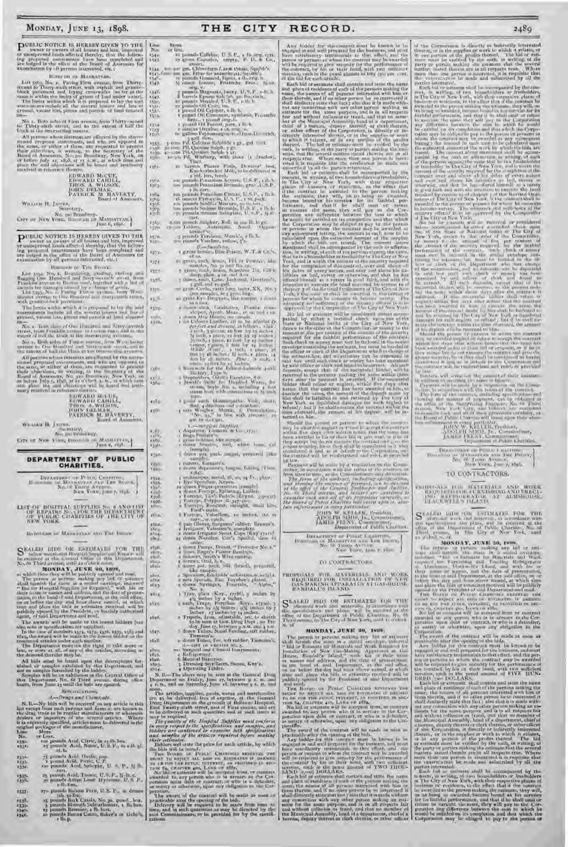**PUBLIC NOTICE IS HEREBY GIVEN TO THE** wave to to work of the normal dust, improved under a discussed and bias, improved and the proposed assessments have been completed and are independent on the of the local of Assessmen BORG GH FR MASHATTAN. Line More<br>No: or less

Luit 550s, No. 1. Paving First avenue, from Thirty.<br>Isosond to Turry-antile street, with angle and generic-stock pavement and taying crasswalls and generic-standard block pavements.<br>The law is within the limits of grams o

No. t. Both sudes of First avenue, from 'Thirty-extend to 'Thirty-sixth street, and to the extent of half the<br>block at the onersecting streets.

All persons whose interests are affected by the above-<br>monet respects assessments, and who are composed to present<br>the same or rather of them, are requested to present<br>their photons, in writing, to the Seiretiny of the<br>Ha

# EDWARD MCCUE,<br>EDWARD CAHILL,<br>THOS. A. WILSON,<br>JOHN 10GMAR, BAVERTY, PATRICK Al.<br>PATRICK All Hoard of Assessors.

WILLIAM II. JASES, Severlary,

Secretary,<br>No. 320 Broadway.<br>City of New York, Icino di Di Manijattan,

PUBLIC NOTICE IS HEREDY GIVEN TO THE owner of all locates and love, improved and the individual of the individual of the individual of the individual of the individual of the individual of the individual of the individual Boxough or Typ Brook.

Let you, No, r. Readministry, material and the Figure and Sharp space<br>of and Sharp space of the letter of the figure of the letter from the<br>distribution of the condition of the state of the letter and<br>average of the state

No. I. Both sides of Onr Hundred and Sixty-seventh street, from Franklin avenue to I o'ton road, and to the extent f half the block at the intersecting avenues.

No. e. Det sides of Timos avenue, from Westchester (avenue to One Hundred and Sixty-nrntle stract, and Sixty-<br>the extent of half the block at the interesting avenues.

All performance interests are<br>all a teaching the amount of proposed as the same of the same of the<br>same of the same of the same of the same of the same of the same of the<br>same of the same of the Same of the same of the sa

| <b>ELIWARD MILLIE.</b>     |
|----------------------------|
| <b>EUWARD CABILL</b>       |
| <b>THES. A. WILSITS.</b>   |
| FOLLMER ELECTRIC IN        |
| <b>DATRICK M. HAVERTY,</b> |
| Housed of Assassmers,      |

WILLIAM H. JAstFR, Secretary, No. 320 Broadway.

CITY OF New York, Gospotton - Maxmatrain,

# DEPARTMENT OF PUBLIC CHARITIES.

DETARTMENT OF PULLO CHARTING, |<br>|- Inter of Manageras avec Int Hoove, |<br>|- No.t6 Thing Avec 9, 1898. J

LIST OF HOSPITAL SUPPLIES No. 8 AND LIST<br>OF REPAIRS No. 3 FOR THE UNITED STATES OF THE CITY OF<br>NEW YORK.

1k)POUGHS ur hlIASHrv'nAN AND THE BRONX.

S KALED | GDS OR ESTIMATIS | FOR THE BELOW meatrice of the Central Office of the Central Office of the Central Office of the Central Office of the Central Office of the Central Office of the Central Office of the Central O

**MOVIDAY, JUNES 30, 1808**<br>In which there they will be putchedy versel and read,<br>The pattern of the will be putched and read,<br> $\frac{1}{2}$  with the same an a scaled tapeings, independ<br>the shall include the same and a scaled t

The awards will be unade to the lowest bidders (see<br>the note to predications too simplice), the case of numbers  $i_2j_4$ ,  $i_3j_5$ ,  $i_3j_7$ ,  $i_3j_2$ ,  $i_3j_3$ , and<br> $\tau \hat{b}$ ; the case of numbers  $i_2j_4$ ,  $i_3j_5$ ,  $i_3$ 

#### *A.—Drugs anti Gi enr ice is.*

N, B.—No bids will be received on any article in this list except from such persons and firms at are known in the theory of the except control of the state of the state of the state of the state of the state of the state o Line More No. or Less.

- 1530. too pounds Acid, Citric, in 25-lb. hoc. 25 pounds Acid, Nitric, U.S. P., iu r.ih. gl. (15).
- 
- 1532• 75 pounds Acid, Oxalic, pap, 1533• r p~iund Acid, Picric, C. 1'. x534. tau pounds Acid, Salicylic, U. S. I'., % lb.
- cart. **1535** 25 pounds Acid, Taonic, U.S.P., B.H.c. P., 536. 50 pounds Adeps Lana 11ydrosus, U.S. P.,
- 1537• 270 pounds Balsam Peru, U.S. P., in drums

1538• 25 pounds Bark Cassia, No. 25, powd., box.<br>1539• 3 pounds Bismuth Subcarbonate, i lb. box.<br>1540– 15 pounds Bromine, i lb. box.<br>1540– 16 pounds Bromine, Cacao, Baker's or Cehe's, I lb. p.

No. or less,  $\cos \theta$  Caffelor,  $\theta$ ,  $S, P_{n+1}$  b,  $\cos \theta$ ,  $\cos \theta$ ,  $\cos \theta$ ,  $\cos \theta$ ,  $\cos \theta$ ,  $\cos \theta$ ,  $\cos \theta$ ,  $\cos \theta$ ,  $\cos \theta$ ,  $\cos \theta$ ,  $\cos \theta$ ,  $\cos \theta$ ,  $\cos \theta$ ,  $\cos \theta$ ,  $\cos \theta$ ,  $\cos \theta$ ,  $\cos \theta$ ,  $\cos \theta$ ,  $\cos \theta$ ,  $\cos \theta$ ,  $\cos \theta$ ,  $\cos$ 

154t. – to pounds Gimmon, Ingeni, ribiorig. b.<br>1547 – Si camer Lononc, Fritzsche Pros., Micael

orig. V.

- 
- 

1442. <br>
1444. <br>
1444. <br>
1444. <br>
1444. <br>
1444. <br>
1445. <br>
1445. <br>
1445. <br>
1445. <br>
1444. <br>
1444. <br>
1444. <br>
1444. <br>
1444. <br>
1444. <br>
1444. <br>
1444. <br>
1444. <br>
1444. <br>
1444. <br>
1444. <br>
1444. <br>
1444. <br>
1444. <br>
1444. <br>
1444. <br>
1444.

1570. 25-51idets, Antiseptic, N<br/>nod, '(Ippen-<br>1572. - Spenards Vaselines, Merck's, r<br/> 1b. b. 3572. - See pounds Vaseline, yellow, 5's. <br>1573. - <br/>  $\mathcal{U}=\text{Span}\{h(x,t),$  Blue Poison, W. T. & Co.'s, 1573. - <br/>  $\$ 

- 
- 
- $\begin{tabular}{ll} $i_2 t_1$ & $z_1$ & $z_2$ & $z_3$ & $z_4$ & $z_5$ & $z_6$ & $z_7$ \\ & $z_1$ & $z_2$ & $z_6$ & $z_7$ & $z_7$ & $z_7$ & $z_7$ & $z_7$ & $z_7$ \\ & $z_1$ & $z_2$ & $z_3$ & $z_7$ & $z_7$ & $z_7$ & $z_7$ & $z_7$ & $z_7$ & $z_7$ \\ & $z_2$ & $z_2$ & $z_3$ & $z_7$ & $z_7$ & $z_7$ & $z_7$ & $z$ 
	-
	-
- $\begin{tabular}{ll} $x_5y_4$ & \hbox{\small \bf 5-10000}, $x_5y_3$ & \hbox{\small \bf 5-10000}, $y_1, y_2, y_3$ & \hbox{\small \bf 5-1000}, $y_1, y_2, y_3$ & \hbox{\small \bf 5-1000}, $y_2, y_3$ & \hbox{\small \bf 5-1000},\\ $x_1, y_1$ & \hbox{\small \bf 5-10000}, $y_1, y_2, y_3$ & \hbox{\small \bf 5-1000}, $y_2, y_3$ & \hbox{\small \bf 5-100$

- 1585. 6 gross each Hommopatha Visi, short,  $\frac{1}{2}$  der drachms and e drachms,  $\frac{1}{2}$  sets  $\frac{1}{2}$  sets  $\frac{1}{2}$  sets with late extraction,  $\frac{1}{2}$  sets with  $\frac{1}{2}$  sets with late extraction,  $\frac{1}{2}$  sets wi
	-
	-
- $\begin{array}{lll} \textbf{1},\textbf{2},\textbf{3},\textbf{4},\textbf{5},\textbf{6},\textbf{7},\textbf{8},\textbf{8},\textbf{9},\textbf{1},\textbf{1},\textbf{2},\textbf{3},\textbf{1},\textbf{1},\textbf{2},\textbf{3},\textbf{3},\textbf{4},\textbf{5},\textbf{5},\textbf{6},\textbf{7},\textbf{8},\textbf{8},\textbf{7},\textbf{8},\textbf{8},\textbf{9},\textbf{1},\textbf{1},\textbf{1},\textbf{1},\textbf{1},\text$
- 1991, 6 dozen pat. pack. catgut, prepared (like sample). x592. r curette, Emmett's.

- 
- 
- 
- $\begin{tabular}{l|c|c|c|c} $k_{111}$ & $n_{122}$ & $n_{133}$ & $n_{145}$ & $n_{15}$ & $n_{16}$ & $n_{17}$ & $n_{18}$ & $n_{18}$ & $n_{19}$ & $n_{18}$ & $n_{19}$ & $n_{19}$ & $n_{19}$ & $n_{19}$ & $n_{19}$ & $n_{19}$ & $n_{19}$ & $n_{19}$ & $n_{19}$ & $n_{19}$ & $n_{19}$ & $n_{19}$ & $n_{19}$ & $n_{19}$ & $n_{19}$ & $n_{19}$ & $n_{19}$ & $n_{1$

 $\begin{tabular}{ll} $\mathfrak{p}(\mathfrak{g}),$ & A linear Pumpa, Breat, "Pretestor No, a."\\ $10.99, & $10.98, Bargel's Pashor Bambrwe,\\ $10.98, & $1.5eimesus, Saudch. Wire-cumbras,\\ $10.9, & $1.5eimesus, Doudch. Wre-cumbras,\\ $10.9, & $1.5eimesus, Doudch. Suk, furaid, [0.9] at $1.5e,\\ $10.9, & $1.5e, $1.5e, Baldch. Suk, furaid, [0.9] at $1.5e,\\ $1.5e, & $1.5e$ 

1612. 2 sets Specula, Ear, Toynbee's plates.<br>1613. – John Syringes, Fountain, "'Alpha,"

No. 2.

- $\begin{tabular}{ll} \hline \texttt{min14} & \texttt{if } \texttt{ray}, \texttt{else} \texttt{Myy}, \texttt{try265}, \texttt{y} \texttt{index} \texttt{hy} \\ & \texttt{if } \texttt{key} \texttt{if } \texttt{key} \texttt{if } \texttt{key} \texttt{if } \texttt{key} \texttt{if } \texttt{key} \texttt{if } \texttt{key} \texttt{if } \texttt{key} \texttt{if } \texttt{key} \texttt{if } \texttt{key} \texttt{if } \texttt{key} \texttt{if } \texttt{key} \texttt{if } \texttt{key} \text$ 
	-
	-
	-
	-

1624. **4** Operating Tables.<br>N. B.—The above may be seen at the General Drug<br>Department on Friday, June 17, between 9 A. R. and<br>4. p.m., and on Saturday, June 48, between 9 A. R. and<br>noon.

The articles, supplies, 2002h, wares and increducible<br>are to be delivered, then of expectations of the Gaussian surface Department on the grounds of field<br>even Liempins . For the space of the state of the signal<br>in the de

The award of the contract will be made as soon as<br>particular direct the opening of the local matching in the compact of<br> $\frac{1}{2}$  in the state of the match from time in time, and in each quantities as may be directed by t

Any bidder for this contract must be known to be engaged in and well prequent for the business, and must have a part in the state and and for the state of the state of the state of the state of the state of the state of t the contract, by his or their bond, with two su llicient sureties, each in the penal amount of fifty (5o) per cent. of the bid for each article.

of the Corporation is directly or folorestly interreted<br>there are not to the explication of a conclusion of the state<br>or any cortuna of the profits thereof, a like both or enti-<br>correct must be verified by the order, in wr

particular and the control of the accompany of the size of the size of the size of the control of the control of the size is a size of the control of the control of the control of the control of the control of the size of

Discoverience Public (.Italianum)<br>No. 66 'than Avenue, No. 1998.<br>No. 66 'than Avenue, 1,sn Asia.

TO CONTRACTORS.

PRINTSALS ICH MATERIALS AND WORK (ERIUS ALS FURNISHING AND ERECT), IRI-11<br>1961 - RIPHULUMANI, AT ALMSHOUSE, INACKWILL'as ISLANII, AT ALMSHOUSE,

 $S^*$  AL 10 kilom Ok (SUMATIS FOR THE the specification and matrix in according to the condition of the condition of the condition of the condition of the condition of the condition of the condition of the condition of th

Fig. 2003 OLYGE A JUNEAU 200, 1848-1<br>
The presence of presence in a small determination of the most state and in the<br>small determination of the most in a small determination of the most<br>probability and the determination o

Each Mid or east<br>material and strait the mains and strait the mains and strait the strait of<br>and phase of straitedness due to the forest or strained ratio of the<br>strained ratio of the strained ratio of the person matches

The form of the metrosic including of a second one of the control of the control of the control of the control of the control of the control of the control of the control of the control of the control of the control of th

JOHN W. KELLER, President,<br>AD-1411 SIM15, JR., Commissioner, AMIS FELNY, Commissioner, Internationer, Internationer, Internationer, Internationer, I<br>Department of 1 ubilic Charities.

OERAFINEST AF PULLE CHARTERS,<br>No- 611 litr.<br>No- 6 'n: 100 line and 100 lines;<br>No- 66'1100 x, June 7, 1893.

PROPOSALS FOR MATERIALS AND WORK REQUERED FOR DATA ATTENT OF NEW GAS-MAKING ATTEINS OF NEW GAS-MAKING IN THE RAND IN THE RAND IN THE RAND IN THE RAND IN FURNIT COMPANY CONTINUES.

S-2414.D RDS OR F-TIMATES FOR THE<br>the specifications and materials in accordance with the specifications and have the first result of the<br>effect of the Department of Public Charitras No. 95<br>The dawning In the City of New Y

M, of **MONDAY**, JUME 26, 1948, The proposition of No 1000 and the same in the background of the same in the same in the same of the same in the same of the same in the same of the same in the proposition of New York the m

#### **TO CONTRACTORS.**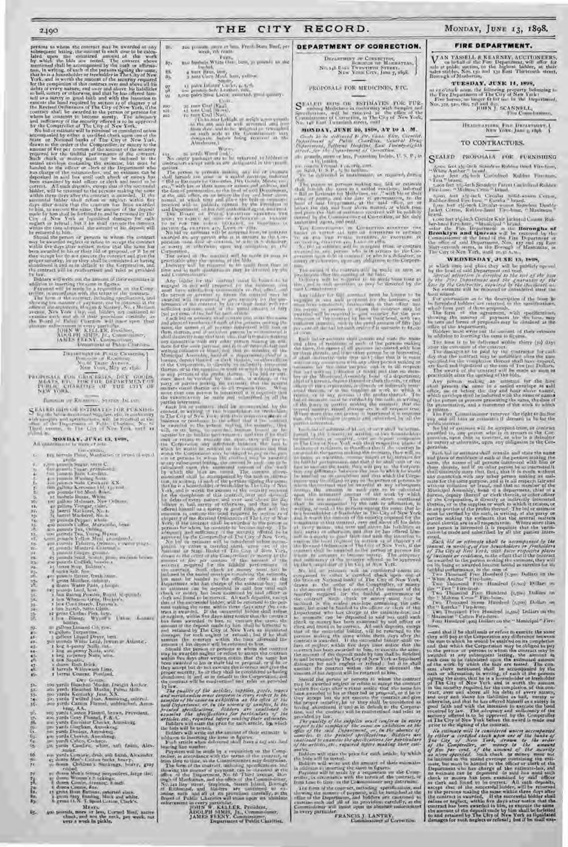performs is whom the center are all be a<br>subsequence from the performal of the animal performance between the<br>subsequence between the subsequence between the first work. The width the<br>matrix and all be animal performance

Payment will be made by a requisition on the Comp-troller, in accordance with the terns of the contract. The form of the contract, including spccifiations, and showing the manner of payment, can be obtained at tine office of the architects, Horgan & Slattery, \,'. x M.tdi<on avenue, New York City, and bidders are cautioned to examine each and all of their provisions carefully, as the Board of Public Charities will insist upon their abs, -lute er.inreement in eves v particular. JOHN \Y. Kh:f.l. EK, President, A10 it l'H I\lI , Iii., Commissioner, JAMES FE EN \, Cummi,sicuer, Department of Public Char,ties

nettight pic Picate Cicaterius |<br>Biographie U, Bibliother,<br>Nicht Diane Avenue,<br>Nicht Viere, May 27, 1898

PROPOSALS FOR GROCERIES, DRY GOODS,<br>MEATS, FOR THE DEPARTMENT OF<br>PUBLIC CHARL'LIFTI OF THE CLIV OF<br>NEW YORK.

Illinoon-GH RICHARD - STATEN 1st. and

SEALED INTO ISTIMATE-TOR FORNISH-- In the below manimized Stephen educationship<br>with an apple and specifications, will be received as the<br>dimensional Dispersion and Mark Charles. No. to<br>New Agency, we like  $C_{\rm eff}$  of New York, and is<br>New Mark Ma

MONDAY, JUNIC 13, 1908,

|                | Limocenters,                                                                                                                                                                                                                                                                                                                                                                                                                |
|----------------|-----------------------------------------------------------------------------------------------------------------------------------------------------------------------------------------------------------------------------------------------------------------------------------------------------------------------------------------------------------------------------------------------------------------------------|
| L.             | 125 loreds Floor, Manhatan or brand of squal-                                                                                                                                                                                                                                                                                                                                                                               |
|                | <b>U.Validae</b>                                                                                                                                                                                                                                                                                                                                                                                                            |
| Ŧ.             | <b>CARD MINIFUL STATE MATERS</b>                                                                                                                                                                                                                                                                                                                                                                                            |
| 16             | for sounds Street, granding<br>for journal hard Gradien.<br>for points Stating Street. XX.<br>Joe points Stati Crockare XX.                                                                                                                                                                                                                                                                                                 |
| $+$            |                                                                                                                                                                                                                                                                                                                                                                                                                             |
| Œ.<br>ы        |                                                                                                                                                                                                                                                                                                                                                                                                                             |
|                | ten galvas Kerovens tid, riginal                                                                                                                                                                                                                                                                                                                                                                                            |
| Ľ              | and parents for Meal Baker.<br>The authors Bonne, Witter of a subset of the system of the Column Contract Contract of the system of the system of the system of the system of the system of the system of the system of the syste                                                                                                                                                                                           |
| $\overline{u}$ |                                                                                                                                                                                                                                                                                                                                                                                                                             |
| 101            |                                                                                                                                                                                                                                                                                                                                                                                                                             |
| 11.            |                                                                                                                                                                                                                                                                                                                                                                                                                             |
| 121            |                                                                                                                                                                                                                                                                                                                                                                                                                             |
| <b>FOL</b>     | li,                                                                                                                                                                                                                                                                                                                                                                                                                         |
| FAL            | in possible Pepper, which $\omega_{\rm{max}}$ and $\omega_{\rm{max}}$ and $\omega_{\rm{max}}$ and $\omega_{\rm{max}}$ and $\omega_{\rm{max}}$ and $\omega_{\rm{max}}$ are possible Pear Yunna Hyann about $\omega_{\rm{max}}$ and $\omega_{\rm{max}}$ are possible Pelpers, corresponding to the stre                                                                                                                       |
| ĸ              |                                                                                                                                                                                                                                                                                                                                                                                                                             |
| JA.            |                                                                                                                                                                                                                                                                                                                                                                                                                             |
| Ù,             |                                                                                                                                                                                                                                                                                                                                                                                                                             |
| tH,            |                                                                                                                                                                                                                                                                                                                                                                                                                             |
| $12-$          |                                                                                                                                                                                                                                                                                                                                                                                                                             |
| W.<br>W.       | I yount freque ground-                                                                                                                                                                                                                                                                                                                                                                                                      |
| 72.            | $\Phi$ provide Sec.<br>J. S. $\delta$ at $\mu$ , and<br>then below the $\Delta$ provides of the condition<br>( $\delta$ ) and $\Phi$ and $\Phi$<br>and $\mu$                                                                                                                                                                                                                                                                |
| 23             |                                                                                                                                                                                                                                                                                                                                                                                                                             |
| $-4-$          |                                                                                                                                                                                                                                                                                                                                                                                                                             |
| 834            |                                                                                                                                                                                                                                                                                                                                                                                                                             |
| $20 -$         |                                                                                                                                                                                                                                                                                                                                                                                                                             |
| Ÿ.             | per pounde Henrie, Grish Staat.<br>E grous Marcher, subject.                                                                                                                                                                                                                                                                                                                                                                |
|                | a drieto Water Pails, a biopic                                                                                                                                                                                                                                                                                                                                                                                              |
| yu.            | $\pi$ pears Land, heat, Rear at September 3, heat September 3, heat September 3, heat Statister, Danmark,                                                                                                                                                                                                                                                                                                                   |
| ηĽ.            |                                                                                                                                                                                                                                                                                                                                                                                                                             |
| jr,            |                                                                                                                                                                                                                                                                                                                                                                                                                             |
| 36-            |                                                                                                                                                                                                                                                                                                                                                                                                                             |
| 344            | a two Search, Satin Glass.<br>12 grinn Clothes Pink, forts.                                                                                                                                                                                                                                                                                                                                                                 |
| $33 -$<br>ĵδ,  | Union, Assessed<br>I la a Etimong,<br>When To                                                                                                                                                                                                                                                                                                                                                                               |
|                | bottley.                                                                                                                                                                                                                                                                                                                                                                                                                    |
| SJ.            |                                                                                                                                                                                                                                                                                                                                                                                                                             |
| ¥9             | = gallon Lincord Cit. row.<br>Youther Technology                                                                                                                                                                                                                                                                                                                                                                            |
| 41.            |                                                                                                                                                                                                                                                                                                                                                                                                                             |
| 49.            | rs callon Turpentine<br>  callons Luquid Draws best.<br>  callons Widia Lead, Drawn = Atlantic.                                                                                                                                                                                                                                                                                                                             |
| 48-            | a keg a-panty Sall, na<br>1 keg a-panty Sall, na<br>1 keg a-panty Sall, na<br>1 keg ve-panty Sall, na<br>1 keg ve-panty<br>1 dozn-Bath Bick,                                                                                                                                                                                                                                                                                |
| 84-            |                                                                                                                                                                                                                                                                                                                                                                                                                             |
| 4F.            |                                                                                                                                                                                                                                                                                                                                                                                                                             |
| 4 <sub>1</sub> |                                                                                                                                                                                                                                                                                                                                                                                                                             |
| T              |                                                                                                                                                                                                                                                                                                                                                                                                                             |
|                | d barrals Willeywash Lime.<br>r berru Cement, Portland,                                                                                                                                                                                                                                                                                                                                                                     |
| 掛              |                                                                                                                                                                                                                                                                                                                                                                                                                             |
|                | $\begin{tabular}{l c c c c c} \hline \textit{DR} & \textit{DR} & \textit{C} & \textit{C} & \textit{C} & \textit{C} & \textit{C} & \textit{C} & \textit{C} & \textit{C} & \textit{C} & \textit{C} & \textit{C} & \textit{C} & \textit{C} & \textit{C} & \textit{C} & \textit{C} & \textit{C} & \textit{C} & \textit{C} & \textit{C} & \textit{C} & \textit{C} & \textit{C} & \textit{C} & \textit{C} & \textit{C} & \textit$ |
| 52.            |                                                                                                                                                                                                                                                                                                                                                                                                                             |
| sx.            |                                                                                                                                                                                                                                                                                                                                                                                                                             |
| 33+            |                                                                                                                                                                                                                                                                                                                                                                                                                             |
| 544<br>3E.     |                                                                                                                                                                                                                                                                                                                                                                                                                             |
|                | kner, AA.<br>200 yanii Casten Flimon, brawn, Francisco.<br>200 yanii Gray Floored, F.A.C.<br>200 yanii Euclista Che lei, American.                                                                                                                                                                                                                                                                                          |
| ýŚ,            |                                                                                                                                                                                                                                                                                                                                                                                                                             |
| M-             |                                                                                                                                                                                                                                                                                                                                                                                                                             |
| m.             |                                                                                                                                                                                                                                                                                                                                                                                                                             |
| Pti.           |                                                                                                                                                                                                                                                                                                                                                                                                                             |
| ίπ,            | po yanti fondiam, American<br>po yanti fondia, American<br>po yanti Chorta, American,<br>po yanti Calco, Codeco,                                                                                                                                                                                                                                                                                                            |
| ūş.            |                                                                                                                                                                                                                                                                                                                                                                                                                             |
| or.            |                                                                                                                                                                                                                                                                                                                                                                                                                             |
| હ્ય            | ga yanis Canfirs: where, and finals, Alex-<br>ander.                                                                                                                                                                                                                                                                                                                                                                        |
| 66.            | ne yanis Centerit, druk sali bulsh, Alexander.                                                                                                                                                                                                                                                                                                                                                                              |
| $24 -$         | 45 decem Men's Littlen Stoke, beary. gray                                                                                                                                                                                                                                                                                                                                                                                   |
| 73.            |                                                                                                                                                                                                                                                                                                                                                                                                                             |
|                | cide                                                                                                                                                                                                                                                                                                                                                                                                                        |
| 79             |                                                                                                                                                                                                                                                                                                                                                                                                                             |
| 詸              | re donne Men's Streng Sospentlers, large the,                                                                                                                                                                                                                                                                                                                                                                               |
|                | Column Courtes diversing, Kingh.                                                                                                                                                                                                                                                                                                                                                                                            |
| 'n,            | 6 direct Cintine, Sav.                                                                                                                                                                                                                                                                                                                                                                                                      |
| W.             |                                                                                                                                                                                                                                                                                                                                                                                                                             |
| æ.             | 11 grant Hunt Buttons, astoried sizes.<br>1. grant razy framing, black and white.<br>8. grant G.S. T. Speel Letten, Clark's.                                                                                                                                                                                                                                                                                                |
|                |                                                                                                                                                                                                                                                                                                                                                                                                                             |
|                | MEAG.                                                                                                                                                                                                                                                                                                                                                                                                                       |
| U5.,           |                                                                                                                                                                                                                                                                                                                                                                                                                             |
|                | an pounds, more or less, Usered Hoal, matter clinck, and not the neck, per work, not very a work in public.                                                                                                                                                                                                                                                                                                                 |
|                |                                                                                                                                                                                                                                                                                                                                                                                                                             |

2490 THE CITY RECORD. MONDAY, JUNE 13, 1898.

86. zoo pounds, more er loss, fresh State Beef, pr 87. **23o bushels White Oat, best, 3z pounds to the Indian Indian Indian Indian Indian Indian Indian Indian Indian Indian Indian Indian Indian Indian Indian Indian Indian Indian Indian Indian Indian Indian Indian Indian Ind** 

88. 4 tour Hann, hest.<br>97. – 3 tours Corn Meal, best, yellow.<br>97. – 14 pounds Soh, Leather, 4, 5,<br>98. – 200 pounds Soh, Leather, and an early.<br>99. – 200 pairs Shoe Laces, assorted, good quality.

 $\begin{tabular}{ll} \hline \textbf{13} & \textbf{14} & \textbf{15} & \textbf{16} & \textbf{17} & \textbf{18} & \textbf{19} & \textbf{19} \\ \hline \textbf{18} & \textbf{18} & \textbf{18} & \textbf{18} & \textbf{18} & \textbf{18} & \textbf{18} \\ \hline \textbf{18} & \textbf{18} & \textbf{18} & \textbf{18} & \textbf{18} & \textbf{18} & \textbf{18} & \textbf{18} & \textbf{18} \\ \hline \textbf{18} &$ 

Wnon. tai 20 cords Wood (oak). No cn)pty pack aces are to Inc returned to bidders in

contractors as a periodic summarization of the annual in the speed of the present of periodic summarization of the periodic summarization of the periodic summarization of the speed of the contract of the periodic summariz

αποιεί το τι καθεί για το τι καθεί για το τίκο του του δεν ταυτου του δεν ταυτου το τι καθεί το τι καθεί το τι καθεί το τι καθεί το τι καθεί το τι καθεί το τι καθεί το τι καθεί το τι καθεί το τι καθεί το τι καθεί το τι κ

by law, and the of the articles, implies, youth, traves and merchanise compared to care received to the animal compared to care the spectrum and the spectrum of the spectrum of the spectrum of the principles of the princi

Indeeds will write out the amount of their extinct<br>it in the linearing the tensor in figures in the linearing the tensor in<br>Figure 1 and the set of the control of the control of the control of<br>the property of the control

JOHN W. KELLER, President,<br>ADOLPH SIMBI, Jr., Commissioner,<br>JAMES FF:ENY, Commissioner, Department of Public Charities.

roo 35 tons Coal (Egg).

#### DEPARTMENT OF CORRECTION.

1)F1AnTsfunNT OF (mumFtl'Iru, BOROUGH OF MANHIATTAN, N,). 148 I'. is F 'lsvi•:N'FlETui STutEn-r, NF:w• Yor.E CITY, June 7, 28p8,

PROPOSALS FOR MEDICINES, ETC.

SEALTH BUIS OR ESTIMATES FOIL FUR-<br>spectrum and building in contormity with samples and<br>spectrum and the received in the effect of the<br>Commissions of Coreening, in The City of New York,<br>No. 148 Fast Twanterhauser, multi

MONDAY, JUNE 20, IS'Jfz, AT 10 A. M.

 $\label{eq:2} \begin{array}{ll} &\textit{Conek} & 24 \textit{~de} & \textit{of} & \textit{not} & \textit{for} & \textit{10} \textit{~de} & \textit{10} \textit{~de} & \textit{10} \textit{~de} & \textit{10} \textit{~de} & \textit{10} \textit{~de} \\ \textit{Dap} & \textit{Dap} & \textit{for} & \textit{10} & \textit{10} & \textit{10} & \textit{10} & \textit{10} & \textit{10} & \textit{10} & \textit{10} \\ \text$ 

To be interested in transitional, as expansed, derived in the person of persons making and foil are extinate in the person of an expansion of the control of the second transition of the second transition of the second of

pr:u-ficality the state opening of the bids.<br>I fully ry will be required to be made from time to<br>time<sub>r</sub> and in such quantities as may be directed by the

and Committee to the material part for larger  $\sim$  by  $\sim$  10  $\pm$  0.000  $\pm$  0.000  $\pm$  0.000  $\pm$  0.000  $\pm$  0.000  $\pm$  0.000  $\pm$  0.000  $\pm$  0.000  $\pm$  0.000  $\pm$  0.000  $\pm$  0.000  $\pm$  0.000  $\pm$  0.000  $\pm$  0.000  $\pm$ 

Finds and or particular and position and state the trained state of matrix of matrix and it pays on the pressure of all pays one interested with form or the state of the state of the state of the state of the state of the that the v-rific; also be nucleared and subscribed by all the particle interested.<br>It is interested of sin-n or over shall be accom-

particular in the continue of two functions of the continue of the control of the control of the control of the control of the control of the control of the control of the control of the control of the control of the cont

the feature National limit of The City of New York,<br>the feature National limit of The City of New York,<br>in the same and the order of the feature in masses of<br>the condition of the control for the condition of the condition

may be awarded using<br>the animal scale of this is samely the contrast widem from the<br>method of the samely discrete that the same law of the state of<br>the property law to the constant the contrast and given the constant<br> $\eta$ 

Bidders will state the price for each article, by which it bids will be sproof.

For brief will be costed.<br>In the matrix of their extraction in different will write the same in different<br>in different through the same in figures. Fagurent will be more than<br>the interaction of the comparison of the Compa

#### FIRE DEPARTMENT.

VAN TASSELL & KEARNEV, AUCTIONEERS,<br>sale or herbils of the Fire Department, will offer for<br>sale at rabilic ancitor, in the ingless: hidder, at their<br>rades sabilies, Nes 130 and 132 East Thirteenth street,<br>Borough of Mudost

TUESDAY, JUNE 11, 1898,

at reached noon, the following property belonging to<br>the Five Department of The City of New York :<br>Free berses, on longer fit for use in the Uepartment,<br>Nor, 331, 340, the, 733 and 850,<br>[(OITN I] SCANNELL,<br>Five Control att

IIEAISVARTIEK, FIER DRIVART, NEW YORK, JUNE 3, 1898.

#### TO CONTRACTORS.

S EALED PROPOSALS FOR FURNISHING

, where fact  $z$  is the branchess Rubber that branchess,  $\frac{1}{2}$  and  $\frac{1}{2}$  and  $\frac{1}{2}$  and  $\frac{1}{2}$  and  $\frac{1}{2}$  and  $\frac{1}{2}$  and  $\frac{1}{2}$  and  $\frac{1}{2}$  and  $\frac{1}{2}$  and  $\frac{1}{2}$  and  $\frac{1}{2}$  and  $\frac{1}{2}$ 

1996 hat I definite Ursular Kuit Jackated Canon Ruis-<br>berchmal hird hat I Department with the Corresponding of Berch Har Department on the Borroughs of<br>Commissions and I department with the control by the<br>Commissions of sa

#### WEDNESDAY, JUNE 15, 1898,

at which thee and place they will be publicly opened<br>by the braid definition of the braid.<br>Abread attention is described to the subject the braid<br>point of the Diplotting and the particular of the<br>subject of the Conference

from correct<br>form as is the description of the from the first column is to the description of the most<br>from the form introduced in the set of descriptions, which term is<br>the form of the set proposals, with specifications,

chall present the come in a scaled envelope at tail there are before the line above named, which comes which the same of a specific control with the specific control with the specific control with the specific control of t

it relates.<br>The Fire Commissioner reserves the right to decline<br>public interest.<br>Public interest.<br>Public interest.

awarded to, any person who is in arrears to the Cor-poration, upon debt or contract, or who is a defaulter as surety or otherwise, upon any obligation to the Cor-

perations.<br>
In this case of results what we can call with the matter has and these of results as of results as a control of the periods with the<br>
same, the same of the periods with the control with free or the same of<br>
th

Such that we referred<br>to the incomplement in the second one of the case of the case of<br> $\sqrt{N}$  of the case of  $\sqrt{N}$  density<br> $\sqrt{N}$  from the case of the case of the case of the case<br> $N$  density in the effect of the part

—and that if he shall omit or refuse in exact<br>tic the same they will pay a the Criptoration any difference between<br>the sum to which he would be easily<br>all on its completion and that which the Corporation is the ordinal of otherwise, and that he has offered himself as a strety in good [aith and with the intension to execute the bond<br>roughed by law. The adequacy and valid-energy of the<br>secondy affered is to be opproved by the Compiralist<br>seco

We entimate with the considered unit accompanies of the particle of the set of the back and  $f$  is the back and  $f$  is the back of the set of  $f$  is the complexible,  $\frac{1}{2}$  is the complexies of the set of  $f$  is the co real<br>agus<br>Anns an Colombia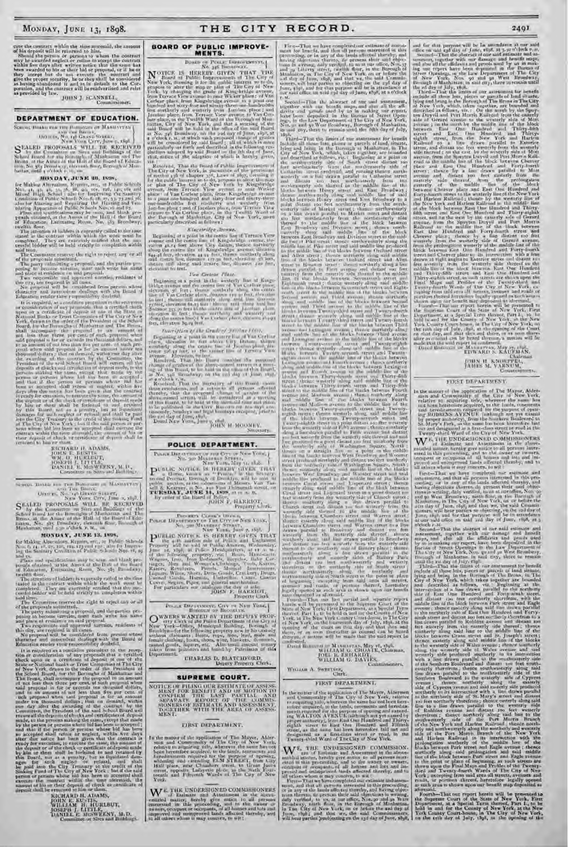# cute the contract within the time at<br>vessile, the antount of his deposit will be returned to him, Should the persons to whom the contract multipliers of<br>the contract of the contract of the contract of the contract of the<br>

Commissioner.

#### DEPARTMENT OF EDUCATION.

 $\begin{tabular}{|c|c|} \hline Sright & Data & Data & Data \\ \hline \end{tabular} \begin{tabular}{|c|c|} \hline Sright & Data & Data \\ \hline \end{tabular} \begin{tabular}{|c|c|} \hline Sright & Data & Data \\ \hline \end{tabular} \begin{tabular}{|c|c|} \hline Sright & Data & Data \\ \hline \end{tabular} \begin{tabular}{|c|c|} \hline Sright & Data & Data \\ \hline \end{tabular} \begin{tabular}{|c|c|} \hline Sright & Data & Data \\ \hline \end{tabular} \begin{tabular}{|c|c|} \hline S1 & A1 & B1 & B1 & B1 & B1$ 

#### MUNDAY, JUNE 30, 1898,

**MON DAY, JUNE 361**, 1838, **ECAL EXECUTE 2018**, **ECAL ARTICLE AND A**  $\mathbf{Y}_1$ ,  $\mathbf{J}$ ,  $\mathbf{B}$ ,  $\mathbf{B}$ ,  $\mathbf{B}$ ,  $\mathbf{B}$ ,  $\mathbf{B}$ ,  $\mathbf{B}$ ,  $\mathbf{B}$ ,  $\mathbf{B}$ ,  $\mathbf{B}$ ,  $\mathbf{B}$ ,  $\mathbf{B}$ ,  $\mathbf{B}$ ,  $\mathbf{B}$ ,

completed. They are excessly moment that the sign completed. They are excessly moment that the sign and the sign and the sign of the party star and proposition within the party star in the party star of the party star ope

# **NETRABU (L. ADAMS)**<br>JOHN E. BUSTIS<br>JOHN E. BUSTIS<br>WM, U. HURLETTS<br>DANIEL E. MESWERKY, M. U.<br>DANIEL E. MESWERKY, M. U.<br>Conditie to Site-and Building,

#### MONDAY, JUNE 13, 1808.

for Making Alternton, Repairs, etc., at Public Schools.<br>Now for the Co. (2), this regional real, also for language<br>Ing the Santary Condition of Public School: Nor. (6), as

ing the same<br>applications any  $\mathbb{H}_n$  seem, and think prevails and<br> $\infty$  is denoted in the Arms of the Bold state of the Bold state<br> $\mathbf{u}_i$ . Following the mass of the Bold states of Education, Lemma<br>ing Room, New 2Ps

tend buller will be beld stratily in completion within<br>the condition of all buller will be beld stratily in completion within<br>The Committee exerce the right to reject any or all<br>of the pressign submitting a proposal, and t

character and more<br>relatively such the Board of Education and more<br>relatively such the Board of Education relatively denoted in the series<br>of the straighted of any proposals that a certified check upon or original boards

RICHARD II, ADAMS,<br>JOHN E. EU-TIS,<br>WILLIAM H. HURLBUT,<br>JOSEFA J. LITLE,<br>DANIEL E. MUNERAN, M.D.<br>Committe in Site and Buildings.

## THE CITY RECORD.

#### **BOARD OF PUBLIC IMPROVE-**MENTS.

**MENTS.**<br>
Boarn or Pontac Denovatives  $\mathbf{y}_{n}$ , Boarn or Pontac Denovatives  $\mathbf{y}_{n}$ , Board of Public Improvements of The City of New York, dentiting the for the multi-function of The City of New York, dentiting the g

Final and the Board of Willie Improvement of the Real Matter of the City of New York, in parameter of the provision of section 18 of the larger and of section 18 of the provision of section 18 of the provision of section

#### Kingstridge Avenue.

#### Van Gerteur Plate.

For Garden Plane.<br>
The formula of the second term of New Cordinal Control (and the second of the second of New Cordinal phase of New Cordinal phase of New Cordinal phase of New Cordinal phase of the second of the second o

#### Description of the Gradies' Northur Have,

**SBETCHATY** 

#### POLICE DEPARTMENT.

 $\begin{array}{c} \text{Pence Dsvatrometric error} \\ \text{New Vone.} \\ \text{New Vone.} \\ \text{New Vone.} \\ \text{New Vone.} \\ \end{array}$ 

 $\begin{array}{c} \textbf{New Vant, May 36, 186.} \\ \textbf{P} \textbf{1} \textbf{b} \textbf{d} \textbf{c} \textbf{c} \textbf{v} \textbf{or} \textbf{d} \textbf{c} \textbf{d} \textbf{d} \textbf{c} \textbf{d} \textbf{d} \textbf{c} \textbf{d} \textbf{c} \textbf{d} \textbf{c} \textbf{d} \textbf{c} \textbf{d} \textbf{c} \textbf{d} \textbf{c} \textbf{d} \textbf{c} \textbf{d} \textbf{c} \textbf{d} \textbf{c} \$ 

 $\begin{array}{ll} \textbf{Proostr}( \textbf{Cross}( \textbf{Cross}( \textbf{Cross}( \textbf{Cross}( \textbf{Coss}( \textbf{C}) \textbf{C})))) \\ \textbf{Proostr}( \textbf{Coss}( \textbf{Coss}( \textbf{Coss}( \textbf{C}) \textbf{Cpos}( \textbf{C})))) \\ \textbf{Neostr}( \textbf{Coss}( \textbf{Coss}( \textbf{Coss}( \textbf{C}) \textbf{Cpos}( \textbf{C})))) \\ \textbf{Neostr}( \textbf{Coss}( \textbf{Coss}( \textbf{Coss}( \textbf{Coss}( \textbf{Coss}( \textbf{Cess}( \textbf{Cess$ 

 $\begin{tabular}{l|c|c|c|c|c} \multicolumn{1}{c}{\textbf{N}W} & \multicolumn{1}{c}{\textbf{N}W} & \multicolumn{1}{c}{\textbf{N}W} & \multicolumn{1}{c}{\textbf{N}W} & \multicolumn{1}{c}{\textbf{N}W} & \multicolumn{1}{c}{\textbf{N}W} & \multicolumn{1}{c}{\textbf{N}W} & \multicolumn{1}{c}{\textbf{N}W} & \multicolumn{1}{c}{\textbf{N}W} & \multicolumn{1}{c}{\textbf{N}W} & \multicolumn{1}{c}{\textbf{N}W} & \multicolumn$ 

 $\begin{tabular}{|c|c|} \hline \textbf{Pmax} & \textbf{Pmax} & \textbf{Pmax} & \textbf{Cinv} & \textbf{N} \text{W} & \textbf{Yum} & \textbf{Yum} \\ \hline \textbf{Bassant} & \textbf{Pissostyst}, \textbf{m} \\ \hline \textbf{WMERS WADITUD IN THE DETUTY PROV-} \\ \hline \textbf{New Vurt-Cekad, the Palew length and the City of  
Unouitym–for the following frequency new in his study of  
Unoul definition, boson, they, from, less, with  
formal conditions, has, wire, blankers, dimensioned gains, larger, etc. Also small amount memory  
the form in piisonres and found by Pat$ taken from<br>Department.

**CHARLES D. BLATCHFORD.**<br> **Depary Property Clerk**.

#### SUPREME COURT.

 $\begin{tabular}{c} \bf{NOTE UP} \end{tabular} \begin{tabular}{lcccc} \bf{NOTE UP} \end{tabular} \begin{tabular}{lcccc} \bf{NOTE UP} \end{tabular} \begin{tabular}{lcccc} \bf{NOTE UP} \end{tabular} \begin{tabular}{lcccc} \bf{NOTE UP} \end{tabular} \begin{tabular}{lcccc} \bf{NOTE UP} \end{tabular} \begin{tabular}{lcccc} \bf{NOTE UP} \end{tabular} \end{tabular} \begin{tabular}{lcccc} \bf{NOTE UP} \end{tabular} \begin{tabular}{lcccc} \bf{NOTE UP} \end{tabular} \end{tabular} \begin{tabular}{lcccc} \bf{NOTE UP} \end{tabular$ 

#### FIRST DEPARTMENT.

In the matter of the application of The Mayor, Alderman and Common<br>alty of The City of New York, reality and Commonlary of The City of New York,<br>celarly marginized rate, wherever the same has not been been<br>therefore acqui

 $\begin{array}{l} \mathbf{W}^{E,\, \mathrm{THE\,UNDFRSIGNED\,COMMBSIONERS}} \hspace{1mm} \text{of\,EMmost\,cm} \hspace{1mm} \text{and\,} \hspace{1mm} \text{the\,\,atomic\,\,} \\ \text{on\,\,Hickon\,\,} \hspace{1mm} \text{in\,\,the\,\,} \hspace{1mm} \text{and\,} \hspace{1mm} \text{the\,\,} \hspace{1mm} \text{and\,\,} \hspace{1mm} \text{on\,\,} \hspace{1mm} \text{in\,\,} \hspace{1mm} \text{in\,\,} \hspace{1mm}$ 

First-That we have completed our estimate of assessment los benefit, and that all partons therefored in this proposition of the lands affected thereby, and having factorized thereby, and having maximal particular in a ver

The second HD and the abstract of rut said assessment, rest, together with our breath maps, and also all the afficients and proofs used by as in making our report, have been depended in the Eurer of Street Open-line has b

Notice and the World Horstein and Barrels and Barriston and the Barriston and the Barriston and the Barriston and the Barriston and the Barriston and the Barriston and the Barriston and the Barriston and the Barriston and

rovinged.<br>
Dated Bonnton or MASHATAS, May 16, 1898.<br>
Tated Bonnton or H.I.AM G. CHOATE, Chairman,<br>
FOEL It ERITARDT<br>
WILLIAM G. DAVIES.

# WOLLAM A. SWEETSER, Clerk.

#### FIRST DEPARTMENT,

In the matter of the application of The Mayor, Aldermen The matter of the approximate of the state of the state and the matter of the component of the City of New York, relative to some properties among the barrel in the barrier matter is simplered, to the barrier of the barri

Twenty-third Ward of The City of New York.<br>  $\mathbf{W}^{\text{E}}$ , THE, UNIMERSIGNED COMMISSION.<br>
Each of Eastimac and Assessment in the above entired matter, betally give matter these there is no increase entire the above<br>
exte

2401<br>2401 and for that payers will be In an<br>unders a one waid on some different that is not account to the second of<br>the second of the second terms and account on the second terms of the<br>second of the second terms of the

TOUN H KNOUTEL,

#### FIRST DEPARTMENT.

In the matter of the application of The Mayor, Aiders<br>can and Contourantly of the City of New York, visibly to regularing this, when<br>even the accupation of the state is some has a contract of the state<br>and therefore the s

Twenty-them ward of the City of New York,<br> $\mathbf{W}^{(k)}$ , Till K UNDERSHONERD COMMISSIONERS<br>antifed motion, bending give nodes to all persons inter-<br>existed in this proceeding, and to the above-<br>compart or compared in the s

stand in this procession, and the average to the stand in the standard in the standard and the standard distance in the standard in the standard of the standard in the standard in the standard in the standard in the stand

aforeaand.<br>Fourth-That our report herein will be pre-ented to the Supreme Court of the State of New York, First Dispartment, at a Special Term thereof, Part L, to her hald in and for the County of New York, at the New York